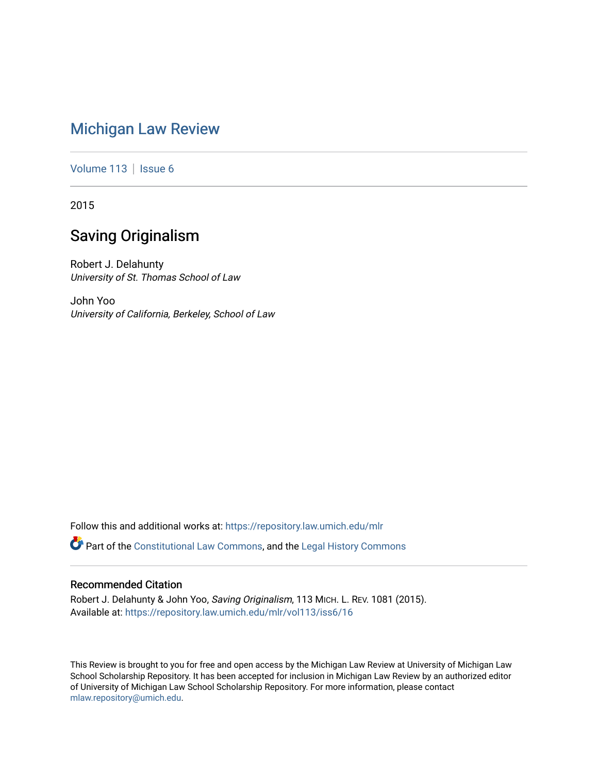# [Michigan Law Review](https://repository.law.umich.edu/mlr)

[Volume 113](https://repository.law.umich.edu/mlr/vol113) | [Issue 6](https://repository.law.umich.edu/mlr/vol113/iss6)

2015

# Saving Originalism

Robert J. Delahunty University of St. Thomas School of Law

John Yoo University of California, Berkeley, School of Law

Follow this and additional works at: [https://repository.law.umich.edu/mlr](https://repository.law.umich.edu/mlr?utm_source=repository.law.umich.edu%2Fmlr%2Fvol113%2Fiss6%2F16&utm_medium=PDF&utm_campaign=PDFCoverPages) 

Part of the [Constitutional Law Commons,](http://network.bepress.com/hgg/discipline/589?utm_source=repository.law.umich.edu%2Fmlr%2Fvol113%2Fiss6%2F16&utm_medium=PDF&utm_campaign=PDFCoverPages) and the [Legal History Commons](http://network.bepress.com/hgg/discipline/904?utm_source=repository.law.umich.edu%2Fmlr%2Fvol113%2Fiss6%2F16&utm_medium=PDF&utm_campaign=PDFCoverPages) 

# Recommended Citation

Robert J. Delahunty & John Yoo, Saving Originalism, 113 MICH. L. REV. 1081 (2015). Available at: [https://repository.law.umich.edu/mlr/vol113/iss6/16](https://repository.law.umich.edu/mlr/vol113/iss6/16?utm_source=repository.law.umich.edu%2Fmlr%2Fvol113%2Fiss6%2F16&utm_medium=PDF&utm_campaign=PDFCoverPages) 

This Review is brought to you for free and open access by the Michigan Law Review at University of Michigan Law School Scholarship Repository. It has been accepted for inclusion in Michigan Law Review by an authorized editor of University of Michigan Law School Scholarship Repository. For more information, please contact [mlaw.repository@umich.edu.](mailto:mlaw.repository@umich.edu)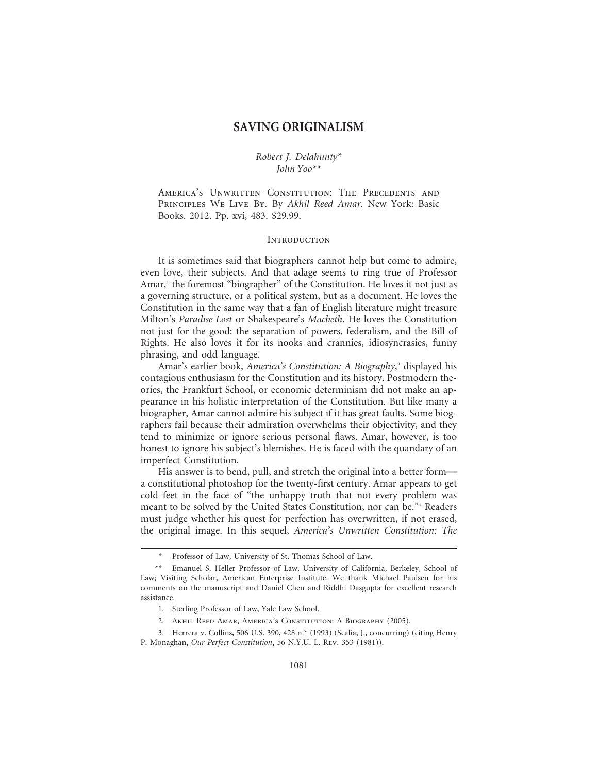# **SAVING ORIGINALISM**

# *Robert J. Delahunty\* John Yoo\*\**

AMERICA'S UNWRITTEN CONSTITUTION: THE PRECEDENTS AND Principles We Live By. By *Akhil Reed Amar*. New York: Basic Books. 2012. Pp. xvi, 483. \$29.99.

#### **INTRODUCTION**

It is sometimes said that biographers cannot help but come to admire, even love, their subjects. And that adage seems to ring true of Professor Amar,<sup>1</sup> the foremost "biographer" of the Constitution. He loves it not just as a governing structure, or a political system, but as a document. He loves the Constitution in the same way that a fan of English literature might treasure Milton's *Paradise Lost* or Shakespeare's *Macbeth*. He loves the Constitution not just for the good: the separation of powers, federalism, and the Bill of Rights. He also loves it for its nooks and crannies, idiosyncrasies, funny phrasing, and odd language.

Amar's earlier book, *America's Constitution: A Biography*, 2 displayed his contagious enthusiasm for the Constitution and its history. Postmodern theories, the Frankfurt School, or economic determinism did not make an appearance in his holistic interpretation of the Constitution. But like many a biographer, Amar cannot admire his subject if it has great faults. Some biographers fail because their admiration overwhelms their objectivity, and they tend to minimize or ignore serious personal flaws. Amar, however, is too honest to ignore his subject's blemishes. He is faced with the quandary of an imperfect Constitution.

His answer is to bend, pull, and stretch the original into a better form a constitutional photoshop for the twenty-first century. Amar appears to get cold feet in the face of "the unhappy truth that not every problem was meant to be solved by the United States Constitution, nor can be."<sup>3</sup> Readers must judge whether his quest for perfection has overwritten, if not erased, the original image. In this sequel, *America's Unwritten Constitution: The*

Professor of Law, University of St. Thomas School of Law.

<sup>\*\*</sup> Emanuel S. Heller Professor of Law, University of California, Berkeley, School of Law; Visiting Scholar, American Enterprise Institute. We thank Michael Paulsen for his comments on the manuscript and Daniel Chen and Riddhi Dasgupta for excellent research assistance.

<sup>1.</sup> Sterling Professor of Law, Yale Law School.

<sup>2.</sup> Akhil Reed Amar, America's Constitution: A Biography (2005).

<sup>3.</sup> Herrera v. Collins, 506 U.S. 390, 428 n.\* (1993) (Scalia, J., concurring) (citing Henry P. Monaghan, *Our Perfect Constitution*, 56 N.Y.U. L. Rev. 353 (1981)).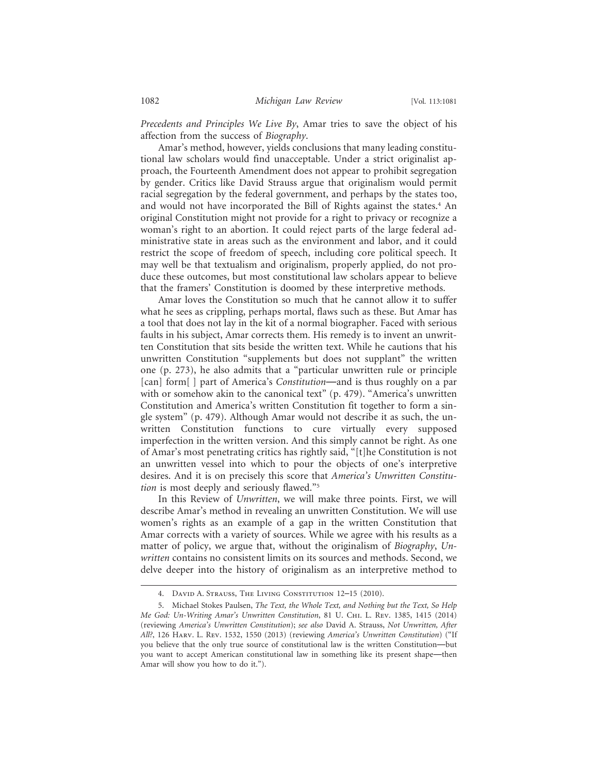*Precedents and Principles We Live By*, Amar tries to save the object of his affection from the success of *Biography*.

Amar's method, however, yields conclusions that many leading constitutional law scholars would find unacceptable. Under a strict originalist approach, the Fourteenth Amendment does not appear to prohibit segregation by gender. Critics like David Strauss argue that originalism would permit racial segregation by the federal government, and perhaps by the states too, and would not have incorporated the Bill of Rights against the states.<sup>4</sup> An original Constitution might not provide for a right to privacy or recognize a woman's right to an abortion. It could reject parts of the large federal administrative state in areas such as the environment and labor, and it could restrict the scope of freedom of speech, including core political speech. It may well be that textualism and originalism, properly applied, do not produce these outcomes, but most constitutional law scholars appear to believe that the framers' Constitution is doomed by these interpretive methods.

Amar loves the Constitution so much that he cannot allow it to suffer what he sees as crippling, perhaps mortal, flaws such as these. But Amar has a tool that does not lay in the kit of a normal biographer. Faced with serious faults in his subject, Amar corrects them. His remedy is to invent an unwritten Constitution that sits beside the written text. While he cautions that his unwritten Constitution "supplements but does not supplant" the written one (p. 273), he also admits that a "particular unwritten rule or principle [can] form[ ] part of America's *Constitution*—and is thus roughly on a par with or somehow akin to the canonical text" (p. 479). "America's unwritten Constitution and America's written Constitution fit together to form a single system" (p. 479). Although Amar would not describe it as such, the unwritten Constitution functions to cure virtually every supposed imperfection in the written version. And this simply cannot be right. As one of Amar's most penetrating critics has rightly said, "[t]he Constitution is not an unwritten vessel into which to pour the objects of one's interpretive desires. And it is on precisely this score that *America's Unwritten Constitution* is most deeply and seriously flawed."5

In this Review of *Unwritten*, we will make three points. First, we will describe Amar's method in revealing an unwritten Constitution. We will use women's rights as an example of a gap in the written Constitution that Amar corrects with a variety of sources. While we agree with his results as a matter of policy, we argue that, without the originalism of *Biography*, *Unwritten* contains no consistent limits on its sources and methods. Second, we delve deeper into the history of originalism as an interpretive method to

<sup>4.</sup> David A. Strauss, The Living Constitution 12–15 (2010).

<sup>5.</sup> Michael Stokes Paulsen, *The Text, the Whole Text, and Nothing but the Text, So Help Me God: Un-Writing Amar's Unwritten Constitution*, 81 U. Chi. L. Rev. 1385, 1415 (2014) (reviewing *America's Unwritten Constitution*); *see also* David A. Strauss, *Not Unwritten, After All?*, 126 Harv. L. Rev. 1532, 1550 (2013) (reviewing *America's Unwritten Constitution*) ("If you believe that the only true source of constitutional law is the written Constitution—but you want to accept American constitutional law in something like its present shape—then Amar will show you how to do it.").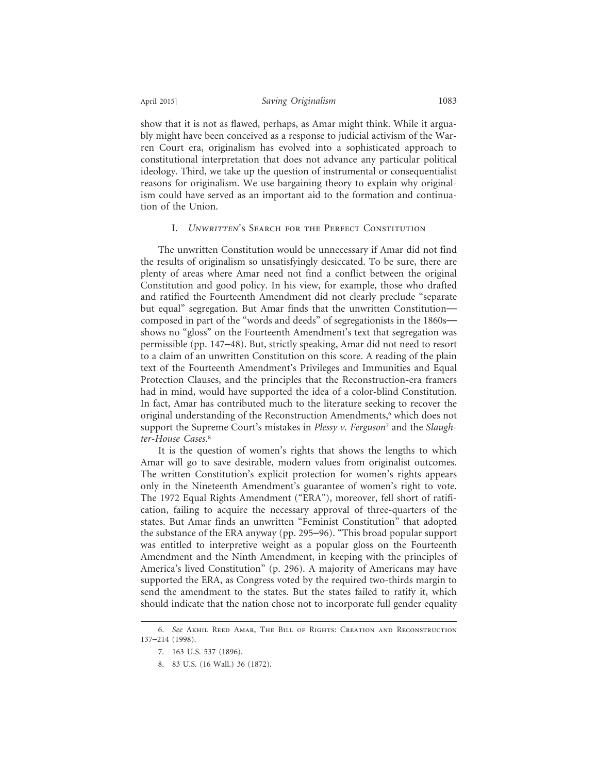show that it is not as flawed, perhaps, as Amar might think. While it arguably might have been conceived as a response to judicial activism of the Warren Court era, originalism has evolved into a sophisticated approach to constitutional interpretation that does not advance any particular political ideology. Third, we take up the question of instrumental or consequentialist reasons for originalism. We use bargaining theory to explain why originalism could have served as an important aid to the formation and continuation of the Union.

#### I. *Unwritten*'s Search for the Perfect Constitution

The unwritten Constitution would be unnecessary if Amar did not find the results of originalism so unsatisfyingly desiccated. To be sure, there are plenty of areas where Amar need not find a conflict between the original Constitution and good policy. In his view, for example, those who drafted and ratified the Fourteenth Amendment did not clearly preclude "separate but equal" segregation. But Amar finds that the unwritten Constitution composed in part of the "words and deeds" of segregationists in the 1860s shows no "gloss" on the Fourteenth Amendment's text that segregation was permissible (pp. 147–48). But, strictly speaking, Amar did not need to resort to a claim of an unwritten Constitution on this score. A reading of the plain text of the Fourteenth Amendment's Privileges and Immunities and Equal Protection Clauses, and the principles that the Reconstruction-era framers had in mind, would have supported the idea of a color-blind Constitution. In fact, Amar has contributed much to the literature seeking to recover the original understanding of the Reconstruction Amendments,<sup>6</sup> which does not support the Supreme Court's mistakes in *Plessy v. Ferguson*<sup>7</sup> and the *Slaughter-House Cases*. 8

It is the question of women's rights that shows the lengths to which Amar will go to save desirable, modern values from originalist outcomes. The written Constitution's explicit protection for women's rights appears only in the Nineteenth Amendment's guarantee of women's right to vote. The 1972 Equal Rights Amendment ("ERA"), moreover, fell short of ratification, failing to acquire the necessary approval of three-quarters of the states. But Amar finds an unwritten "Feminist Constitution" that adopted the substance of the ERA anyway (pp. 295–96). "This broad popular support was entitled to interpretive weight as a popular gloss on the Fourteenth Amendment and the Ninth Amendment, in keeping with the principles of America's lived Constitution" (p. 296). A majority of Americans may have supported the ERA, as Congress voted by the required two-thirds margin to send the amendment to the states. But the states failed to ratify it, which should indicate that the nation chose not to incorporate full gender equality

<sup>6.</sup> *See* Akhil Reed Amar, The Bill of Rights: Creation and Reconstruction 137–214 (1998).

<sup>7. 163</sup> U.S. 537 (1896).

<sup>8. 83</sup> U.S. (16 Wall.) 36 (1872).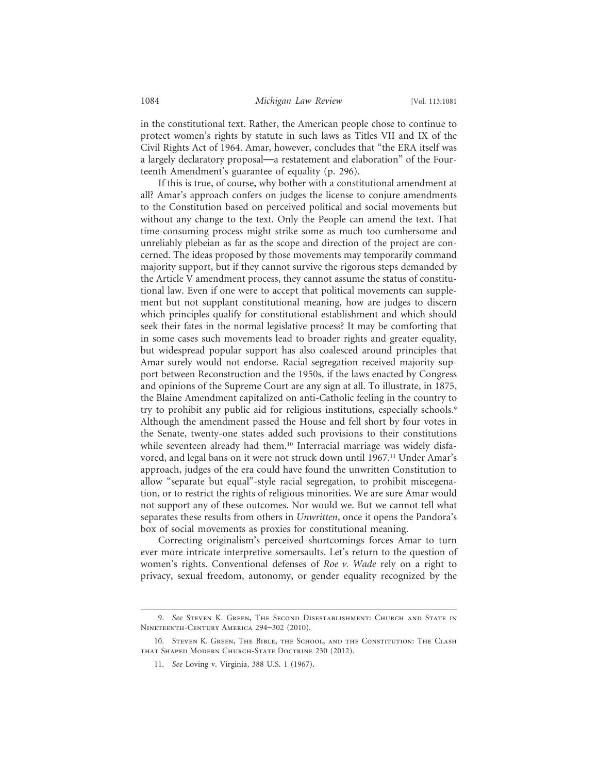in the constitutional text. Rather, the American people chose to continue to protect women's rights by statute in such laws as Titles VII and IX of the Civil Rights Act of 1964. Amar, however, concludes that "the ERA itself was a largely declaratory proposal—a restatement and elaboration" of the Fourteenth Amendment's guarantee of equality (p. 296).

If this is true, of course, why bother with a constitutional amendment at all? Amar's approach confers on judges the license to conjure amendments to the Constitution based on perceived political and social movements but without any change to the text. Only the People can amend the text. That time-consuming process might strike some as much too cumbersome and unreliably plebeian as far as the scope and direction of the project are concerned. The ideas proposed by those movements may temporarily command majority support, but if they cannot survive the rigorous steps demanded by the Article V amendment process, they cannot assume the status of constitutional law. Even if one were to accept that political movements can supplement but not supplant constitutional meaning, how are judges to discern which principles qualify for constitutional establishment and which should seek their fates in the normal legislative process? It may be comforting that in some cases such movements lead to broader rights and greater equality, but widespread popular support has also coalesced around principles that Amar surely would not endorse. Racial segregation received majority support between Reconstruction and the 1950s, if the laws enacted by Congress and opinions of the Supreme Court are any sign at all. To illustrate, in 1875, the Blaine Amendment capitalized on anti-Catholic feeling in the country to try to prohibit any public aid for religious institutions, especially schools.<sup>9</sup> Although the amendment passed the House and fell short by four votes in the Senate, twenty-one states added such provisions to their constitutions while seventeen already had them.<sup>10</sup> Interracial marriage was widely disfavored, and legal bans on it were not struck down until 1967.11 Under Amar's approach, judges of the era could have found the unwritten Constitution to allow "separate but equal"-style racial segregation, to prohibit miscegenation, or to restrict the rights of religious minorities. We are sure Amar would not support any of these outcomes. Nor would we. But we cannot tell what separates these results from others in *Unwritten*, once it opens the Pandora's box of social movements as proxies for constitutional meaning.

Correcting originalism's perceived shortcomings forces Amar to turn ever more intricate interpretive somersaults. Let's return to the question of women's rights. Conventional defenses of *Roe v. Wade* rely on a right to privacy, sexual freedom, autonomy, or gender equality recognized by the

<sup>9.</sup> *See* Steven K. Green, The Second Disestablishment: Church and State in Nineteenth-Century America 294–302 (2010).

<sup>10.</sup> Steven K. Green, The Bible, the School, and the Constitution: The Clash that Shaped Modern Church-State Doctrine 230 (2012).

<sup>11.</sup> *See* Loving v. Virginia, 388 U.S. 1 (1967).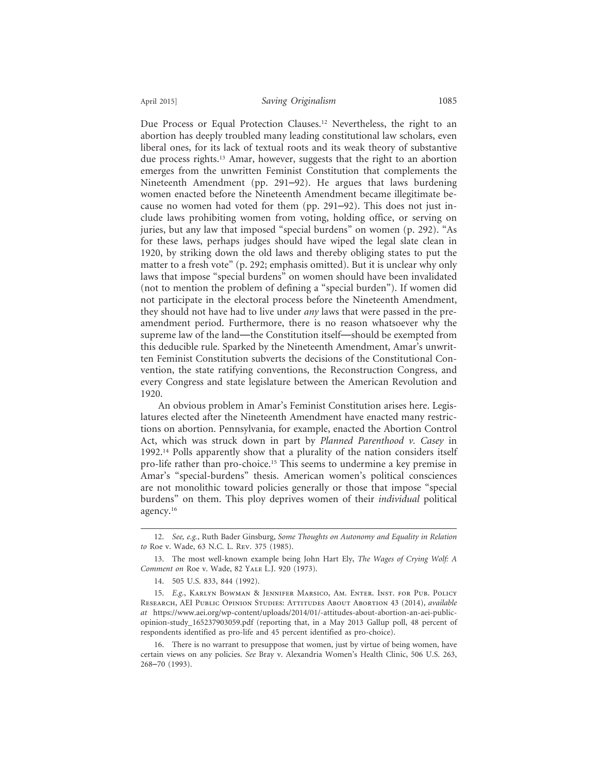Due Process or Equal Protection Clauses.12 Nevertheless, the right to an abortion has deeply troubled many leading constitutional law scholars, even liberal ones, for its lack of textual roots and its weak theory of substantive due process rights.<sup>13</sup> Amar, however, suggests that the right to an abortion emerges from the unwritten Feminist Constitution that complements the Nineteenth Amendment (pp. 291–92). He argues that laws burdening women enacted before the Nineteenth Amendment became illegitimate because no women had voted for them (pp. 291–92). This does not just include laws prohibiting women from voting, holding office, or serving on juries, but any law that imposed "special burdens" on women (p. 292). "As for these laws, perhaps judges should have wiped the legal slate clean in 1920, by striking down the old laws and thereby obliging states to put the matter to a fresh vote" (p. 292; emphasis omitted). But it is unclear why only laws that impose "special burdens" on women should have been invalidated (not to mention the problem of defining a "special burden"). If women did not participate in the electoral process before the Nineteenth Amendment, they should not have had to live under *any* laws that were passed in the preamendment period. Furthermore, there is no reason whatsoever why the supreme law of the land—the Constitution itself—should be exempted from this deducible rule. Sparked by the Nineteenth Amendment, Amar's unwritten Feminist Constitution subverts the decisions of the Constitutional Convention, the state ratifying conventions, the Reconstruction Congress, and every Congress and state legislature between the American Revolution and 1920.

An obvious problem in Amar's Feminist Constitution arises here. Legislatures elected after the Nineteenth Amendment have enacted many restrictions on abortion. Pennsylvania, for example, enacted the Abortion Control Act, which was struck down in part by *Planned Parenthood v. Casey* in 1992.14 Polls apparently show that a plurality of the nation considers itself pro-life rather than pro-choice.15 This seems to undermine a key premise in Amar's "special-burdens" thesis. American women's political consciences are not monolithic toward policies generally or those that impose "special burdens" on them. This ploy deprives women of their *individual* political agency.16

<sup>12.</sup> *See, e.g.*, Ruth Bader Ginsburg, *Some Thoughts on Autonomy and Equality in Relation to* Roe v. Wade, 63 N.C. L. Rev. 375 (1985).

<sup>13.</sup> The most well-known example being John Hart Ely, *The Wages of Crying Wolf: A Comment on* Roe v. Wade, 82 Yale L.J. 920 (1973).

<sup>14. 505</sup> U.S. 833, 844 (1992).

<sup>15.</sup> *E.g.*, Karlyn Bowman & Jennifer Marsico, Am. Enter. Inst. for Pub. Policy Research, AEI Public Opinion Studies: Attitudes About Abortion 43 (2014), *available at* https://www.aei.org/wp-content/uploads/2014/01/-attitudes-about-abortion-an-aei-publicopinion-study\_165237903059.pdf (reporting that, in a May 2013 Gallup poll, 48 percent of respondents identified as pro-life and 45 percent identified as pro-choice).

<sup>16.</sup> There is no warrant to presuppose that women, just by virtue of being women, have certain views on any policies. *See* Bray v. Alexandria Women's Health Clinic, 506 U.S. 263, 268–70 (1993).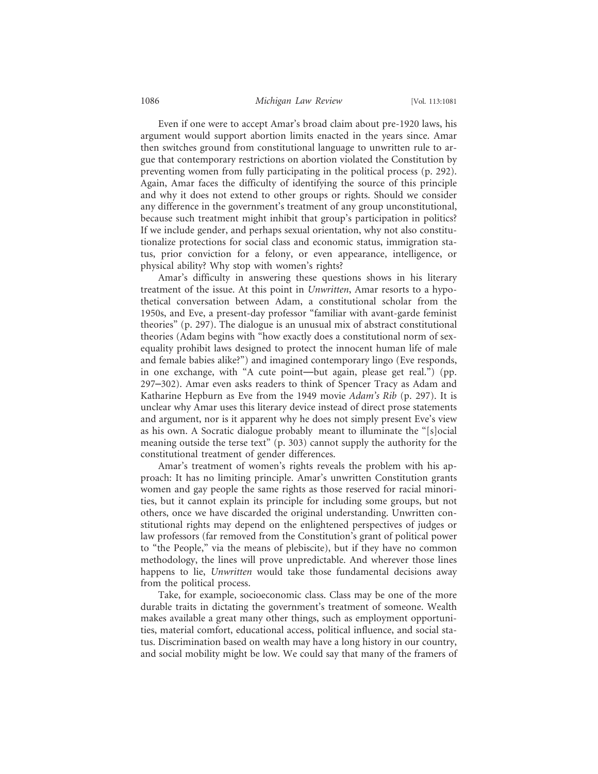#### 1086 *Michigan Law Review* [Vol. 113:1081

Even if one were to accept Amar's broad claim about pre-1920 laws, his argument would support abortion limits enacted in the years since. Amar then switches ground from constitutional language to unwritten rule to argue that contemporary restrictions on abortion violated the Constitution by preventing women from fully participating in the political process (p. 292). Again, Amar faces the difficulty of identifying the source of this principle and why it does not extend to other groups or rights. Should we consider any difference in the government's treatment of any group unconstitutional, because such treatment might inhibit that group's participation in politics? If we include gender, and perhaps sexual orientation, why not also constitutionalize protections for social class and economic status, immigration status, prior conviction for a felony, or even appearance, intelligence, or physical ability? Why stop with women's rights?

Amar's difficulty in answering these questions shows in his literary treatment of the issue. At this point in *Unwritten*, Amar resorts to a hypothetical conversation between Adam, a constitutional scholar from the 1950s, and Eve, a present-day professor "familiar with avant-garde feminist theories" (p. 297). The dialogue is an unusual mix of abstract constitutional theories (Adam begins with "how exactly does a constitutional norm of sexequality prohibit laws designed to protect the innocent human life of male and female babies alike?") and imagined contemporary lingo (Eve responds, in one exchange, with "A cute point—but again, please get real.") (pp. 297–302). Amar even asks readers to think of Spencer Tracy as Adam and Katharine Hepburn as Eve from the 1949 movie *Adam's Rib* (p. 297). It is unclear why Amar uses this literary device instead of direct prose statements and argument, nor is it apparent why he does not simply present Eve's view as his own. A Socratic dialogue probably meant to illuminate the "[s]ocial meaning outside the terse text" (p. 303) cannot supply the authority for the constitutional treatment of gender differences.

Amar's treatment of women's rights reveals the problem with his approach: It has no limiting principle. Amar's unwritten Constitution grants women and gay people the same rights as those reserved for racial minorities, but it cannot explain its principle for including some groups, but not others, once we have discarded the original understanding. Unwritten constitutional rights may depend on the enlightened perspectives of judges or law professors (far removed from the Constitution's grant of political power to "the People," via the means of plebiscite), but if they have no common methodology, the lines will prove unpredictable. And wherever those lines happens to lie, *Unwritten* would take those fundamental decisions away from the political process.

Take, for example, socioeconomic class. Class may be one of the more durable traits in dictating the government's treatment of someone. Wealth makes available a great many other things, such as employment opportunities, material comfort, educational access, political influence, and social status. Discrimination based on wealth may have a long history in our country, and social mobility might be low. We could say that many of the framers of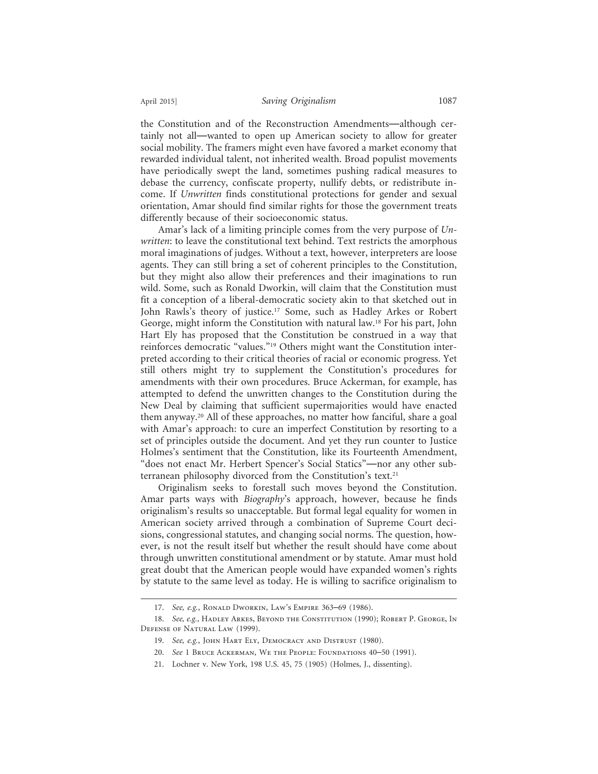the Constitution and of the Reconstruction Amendments—although certainly not all—wanted to open up American society to allow for greater social mobility. The framers might even have favored a market economy that rewarded individual talent, not inherited wealth. Broad populist movements have periodically swept the land, sometimes pushing radical measures to debase the currency, confiscate property, nullify debts, or redistribute income. If *Unwritten* finds constitutional protections for gender and sexual orientation, Amar should find similar rights for those the government treats differently because of their socioeconomic status.

Amar's lack of a limiting principle comes from the very purpose of *Unwritten*: to leave the constitutional text behind. Text restricts the amorphous moral imaginations of judges. Without a text, however, interpreters are loose agents. They can still bring a set of coherent principles to the Constitution, but they might also allow their preferences and their imaginations to run wild. Some, such as Ronald Dworkin, will claim that the Constitution must fit a conception of a liberal-democratic society akin to that sketched out in John Rawls's theory of justice.<sup>17</sup> Some, such as Hadley Arkes or Robert George, might inform the Constitution with natural law.18 For his part, John Hart Ely has proposed that the Constitution be construed in a way that reinforces democratic "values."19 Others might want the Constitution interpreted according to their critical theories of racial or economic progress. Yet still others might try to supplement the Constitution's procedures for amendments with their own procedures. Bruce Ackerman, for example, has attempted to defend the unwritten changes to the Constitution during the New Deal by claiming that sufficient supermajorities would have enacted them anyway.20 All of these approaches, no matter how fanciful, share a goal with Amar's approach: to cure an imperfect Constitution by resorting to a set of principles outside the document. And yet they run counter to Justice Holmes's sentiment that the Constitution, like its Fourteenth Amendment, "does not enact Mr. Herbert Spencer's Social Statics"—nor any other subterranean philosophy divorced from the Constitution's text.<sup>21</sup>

Originalism seeks to forestall such moves beyond the Constitution. Amar parts ways with *Biography*'s approach, however, because he finds originalism's results so unacceptable. But formal legal equality for women in American society arrived through a combination of Supreme Court decisions, congressional statutes, and changing social norms. The question, however, is not the result itself but whether the result should have come about through unwritten constitutional amendment or by statute. Amar must hold great doubt that the American people would have expanded women's rights by statute to the same level as today. He is willing to sacrifice originalism to

<sup>17.</sup> *See, e.g.*, Ronald Dworkin, Law's Empire 363–69 (1986).

<sup>18.</sup> See, e.g., HADLEY ARKES, BEYOND THE CONSTITUTION (1990); ROBERT P. GEORGE, IN Defense of Natural Law (1999).

<sup>19.</sup> *See, e.g.*, John Hart Ely, Democracy and Distrust (1980).

<sup>20.</sup> *See* 1 Bruce Ackerman, We the People: Foundations 40–50 (1991).

<sup>21.</sup> Lochner v. New York, 198 U.S. 45, 75 (1905) (Holmes, J., dissenting).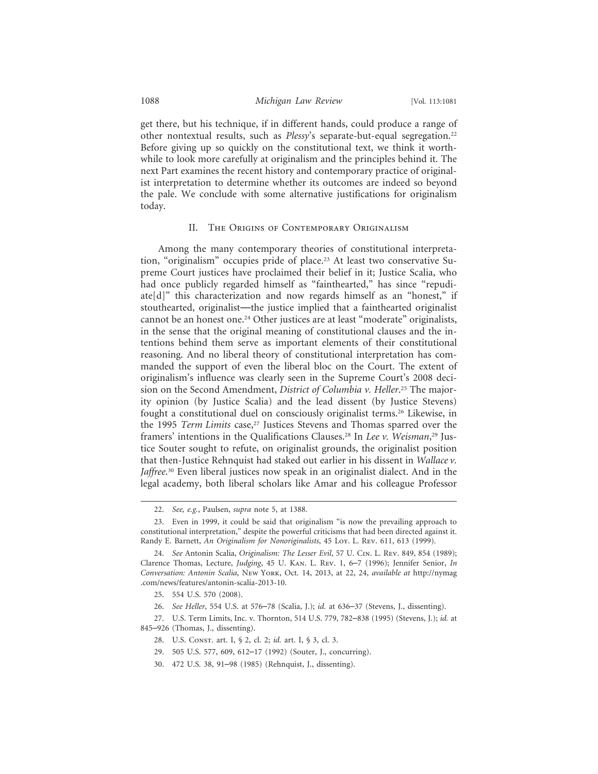get there, but his technique, if in different hands, could produce a range of other nontextual results, such as *Plessy*'s separate-but-equal segregation.22 Before giving up so quickly on the constitutional text, we think it worthwhile to look more carefully at originalism and the principles behind it. The next Part examines the recent history and contemporary practice of originalist interpretation to determine whether its outcomes are indeed so beyond the pale. We conclude with some alternative justifications for originalism today.

#### II. The Origins of Contemporary Originalism

Among the many contemporary theories of constitutional interpretation, "originalism" occupies pride of place.<sup>23</sup> At least two conservative Supreme Court justices have proclaimed their belief in it; Justice Scalia, who had once publicly regarded himself as "fainthearted," has since "repudiate[d]" this characterization and now regards himself as an "honest," if stouthearted, originalist—the justice implied that a fainthearted originalist cannot be an honest one.24 Other justices are at least "moderate" originalists, in the sense that the original meaning of constitutional clauses and the intentions behind them serve as important elements of their constitutional reasoning. And no liberal theory of constitutional interpretation has commanded the support of even the liberal bloc on the Court. The extent of originalism's influence was clearly seen in the Supreme Court's 2008 decision on the Second Amendment, *District of Columbia v. Heller*. 25 The majority opinion (by Justice Scalia) and the lead dissent (by Justice Stevens) fought a constitutional duel on consciously originalist terms.<sup>26</sup> Likewise, in the 1995 *Term Limits* case,<sup>27</sup> Justices Stevens and Thomas sparred over the framers' intentions in the Qualifications Clauses.28 In *Lee v. Weisman*, 29 Justice Souter sought to refute, on originalist grounds, the originalist position that then-Justice Rehnquist had staked out earlier in his dissent in *Wallace v. Jaffree*. 30 Even liberal justices now speak in an originalist dialect. And in the legal academy, both liberal scholars like Amar and his colleague Professor

<sup>22.</sup> *See, e.g.*, Paulsen, *supra* note 5, at 1388.

<sup>23.</sup> Even in 1999, it could be said that originalism "is now the prevailing approach to constitutional interpretation," despite the powerful criticisms that had been directed against it. Randy E. Barnett, *An Originalism for Nonoriginalists*, 45 Loy. L. Rev. 611, 613 (1999).

<sup>24.</sup> *See* Antonin Scalia, *Originalism: The Lesser Evil*, 57 U. Cin. L. Rev. 849, 854 (1989); Clarence Thomas, Lecture, *Judging*, 45 U. Kan. L. Rev. 1, 6–7 (1996); Jennifer Senior, *In Conversation: Antonin Scalia*, New York, Oct. 14, 2013, at 22, 24, *available at* http://nymag .com/news/features/antonin-scalia-2013-10.

<sup>25. 554</sup> U.S. 570 (2008).

<sup>26.</sup> *See Heller*, 554 U.S. at 576–78 (Scalia, J.); *id.* at 636–37 (Stevens, J., dissenting).

<sup>27.</sup> U.S. Term Limits, Inc. v. Thornton, 514 U.S. 779, 782–838 (1995) (Stevens, J.); *id.* at 845–926 (Thomas, J., dissenting).

<sup>28.</sup> U.S. Const. art. I, § 2, cl. 2; *id.* art. I, § 3, cl. 3.

<sup>29. 505</sup> U.S. 577, 609, 612–17 (1992) (Souter, J., concurring).

<sup>30. 472</sup> U.S. 38, 91–98 (1985) (Rehnquist, J., dissenting).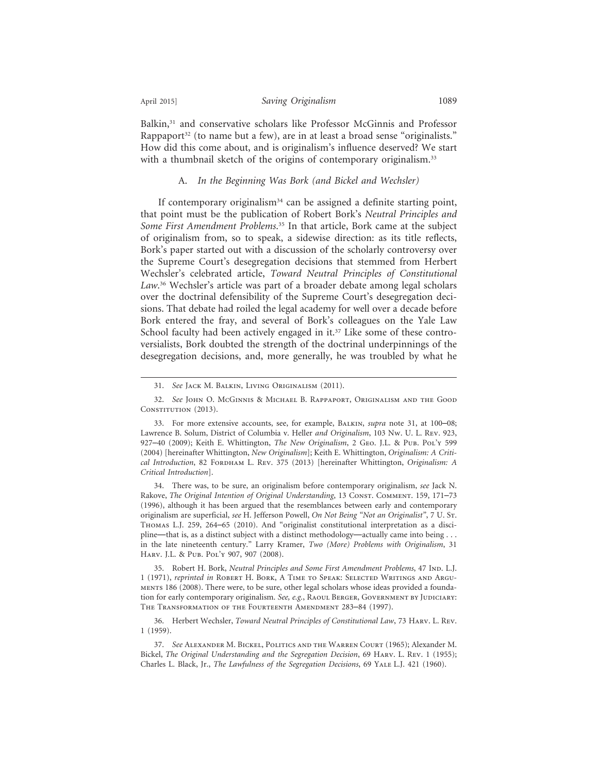Balkin,<sup>31</sup> and conservative scholars like Professor McGinnis and Professor Rappaport $32$  (to name but a few), are in at least a broad sense "originalists." How did this come about, and is originalism's influence deserved? We start with a thumbnail sketch of the origins of contemporary originalism.<sup>33</sup>

# A. *In the Beginning Was Bork (and Bickel and Wechsler)*

If contemporary originalism<sup>34</sup> can be assigned a definite starting point, that point must be the publication of Robert Bork's *Neutral Principles and Some First Amendment Problems*. 35 In that article, Bork came at the subject of originalism from, so to speak, a sidewise direction: as its title reflects, Bork's paper started out with a discussion of the scholarly controversy over the Supreme Court's desegregation decisions that stemmed from Herbert Wechsler's celebrated article, *Toward Neutral Principles of Constitutional Law*. 36 Wechsler's article was part of a broader debate among legal scholars over the doctrinal defensibility of the Supreme Court's desegregation decisions. That debate had roiled the legal academy for well over a decade before Bork entered the fray, and several of Bork's colleagues on the Yale Law School faculty had been actively engaged in it.<sup>37</sup> Like some of these controversialists, Bork doubted the strength of the doctrinal underpinnings of the desegregation decisions, and, more generally, he was troubled by what he

34. There was, to be sure, an originalism before contemporary originalism, *see* Jack N. Rakove, *The Original Intention of Original Understanding*, 13 CONST. COMMENT. 159, 171-73 (1996), although it has been argued that the resemblances between early and contemporary originalism are superficial, *see* H. Jefferson Powell, *On Not Being "Not an Originalist"*, 7 U. St. Thomas L.J. 259, 264–65 (2010). And "originalist constitutional interpretation as a discipline—that is, as a distinct subject with a distinct methodology—actually came into being . . . in the late nineteenth century." Larry Kramer, *Two (More) Problems with Originalism*, 31 Harv. J.L. & Pub. Pol'y 907, 907 (2008).

35. Robert H. Bork, *Neutral Principles and Some First Amendment Problems*, 47 Inp. L.J. 1 (1971), *reprinted in* Robert H. Bork, A Time to Speak: Selected Writings and Arguments 186 (2008). There were, to be sure, other legal scholars whose ideas provided a foundation for early contemporary originalism. See, e.g., RAOUL BERGER, GOVERNMENT BY JUDICIARY: The Transformation of the Fourteenth Amendment 283–84 (1997).

36. Herbert Wechsler, *Toward Neutral Principles of Constitutional Law*, 73 Harv. L. Rev. 1 (1959).

37. *See* Alexander M. Bickel, Politics and the Warren Court (1965); Alexander M. Bickel, *The Original Understanding and the Segregation Decision*, 69 Harv. L. Rev. 1 (1955); Charles L. Black, Jr., *The Lawfulness of the Segregation Decisions*, 69 Yale L.J. 421 (1960).

<sup>31.</sup> *See* Jack M. Balkin, Living Originalism (2011).

<sup>32.</sup> *See* John O. McGinnis & Michael B. Rappaport, Originalism and the Good CONSTITUTION (2013).

<sup>33.</sup> For more extensive accounts, see, for example, Balkin, *supra* note 31, at 100–08; Lawrence B. Solum, District of Columbia v. Heller *and Originalism*, 103 Nw. U. L. Rev. 923, 927–40 (2009); Keith E. Whittington, *The New Originalism*, 2 Geo. J.L. & Pub. Pol'y 599 (2004) [hereinafter Whittington, *New Originalism*]; Keith E. Whittington, *Originalism: A Critical Introduction*, 82 FORDНАМ L. REV. 375 (2013) [hereinafter Whittington, Originalism: А *Critical Introduction*].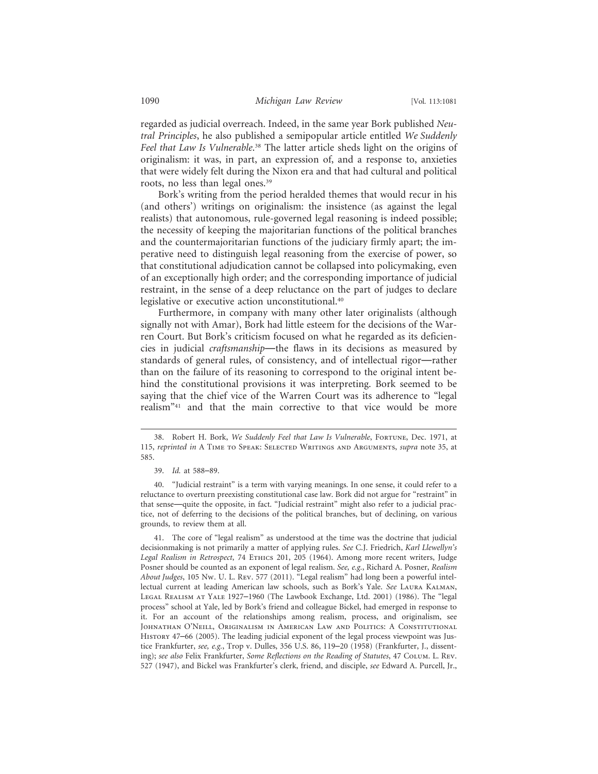regarded as judicial overreach. Indeed, in the same year Bork published *Neutral Principles*, he also published a semipopular article entitled *We Suddenly Feel that Law Is Vulnerable*. 38 The latter article sheds light on the origins of originalism: it was, in part, an expression of, and a response to, anxieties that were widely felt during the Nixon era and that had cultural and political roots, no less than legal ones.39

Bork's writing from the period heralded themes that would recur in his (and others') writings on originalism: the insistence (as against the legal realists) that autonomous, rule-governed legal reasoning is indeed possible; the necessity of keeping the majoritarian functions of the political branches and the countermajoritarian functions of the judiciary firmly apart; the imperative need to distinguish legal reasoning from the exercise of power, so that constitutional adjudication cannot be collapsed into policymaking, even of an exceptionally high order; and the corresponding importance of judicial restraint, in the sense of a deep reluctance on the part of judges to declare legislative or executive action unconstitutional.40

Furthermore, in company with many other later originalists (although signally not with Amar), Bork had little esteem for the decisions of the Warren Court. But Bork's criticism focused on what he regarded as its deficiencies in judicial *craftsmanship*—the flaws in its decisions as measured by standards of general rules, of consistency, and of intellectual rigor—rather than on the failure of its reasoning to correspond to the original intent behind the constitutional provisions it was interpreting. Bork seemed to be saying that the chief vice of the Warren Court was its adherence to "legal realism"41 and that the main corrective to that vice would be more

<sup>38.</sup> Robert H. Bork, We Suddenly Feel that Law Is Vulnerable, FORTUNE, Dec. 1971, at 115, *reprinted in* A Time to Speak: Selected Writings and Arguments, *supra* note 35, at 585.

<sup>39.</sup> *Id.* at 588–89.

<sup>40. &</sup>quot;Judicial restraint" is a term with varying meanings. In one sense, it could refer to a reluctance to overturn preexisting constitutional case law. Bork did not argue for "restraint" in that sense—quite the opposite, in fact. "Judicial restraint" might also refer to a judicial practice, not of deferring to the decisions of the political branches, but of declining, on various grounds, to review them at all.

<sup>41.</sup> The core of "legal realism" as understood at the time was the doctrine that judicial decisionmaking is not primarily a matter of applying rules. *See* C.J. Friedrich, *Karl Llewellyn's Legal Realism in Retrospect*, 74 Ethics 201, 205 (1964). Among more recent writers, Judge Posner should be counted as an exponent of legal realism. *See, e.g.*, Richard A. Posner, *Realism About Judges*, 105 Nw. U. L. Rev. 577 (2011). "Legal realism" had long been a powerful intellectual current at leading American law schools, such as Bork's Yale. *See* Laura Kalman, Legal Realism at Yale 1927–1960 (The Lawbook Exchange, Ltd. 2001) (1986). The "legal process" school at Yale, led by Bork's friend and colleague Bickel, had emerged in response to it. For an account of the relationships among realism, process, and originalism, see Johnathan O'Neill, Originalism in American Law and Politics: A Constitutional History 47–66 (2005). The leading judicial exponent of the legal process viewpoint was Justice Frankfurter, *see, e.g.*, Trop v. Dulles, 356 U.S. 86, 119–20 (1958) (Frankfurter, J., dissenting); *see also* Felix Frankfurter, *Some Reflections on the Reading of Statutes*, 47 Colum. L. Rev. 527 (1947), and Bickel was Frankfurter's clerk, friend, and disciple, *see* Edward A. Purcell, Jr.,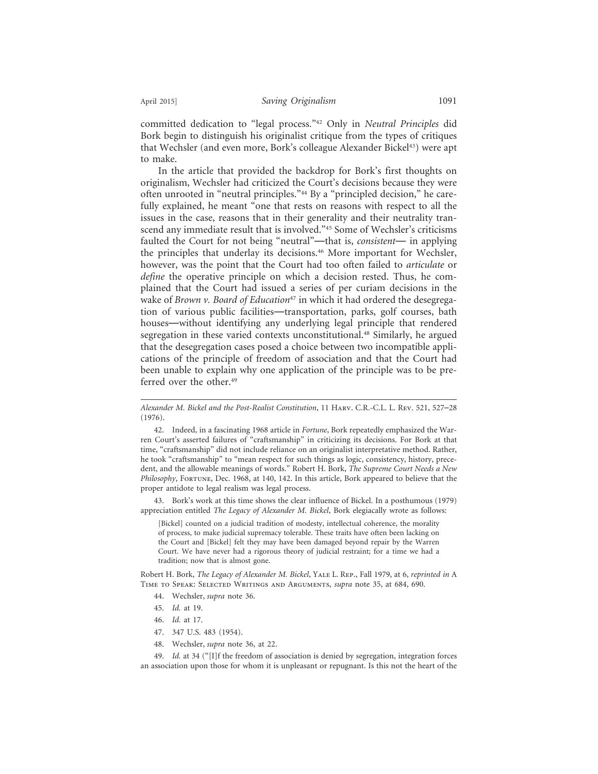committed dedication to "legal process."42 Only in *Neutral Principles* did Bork begin to distinguish his originalist critique from the types of critiques that Wechsler (and even more, Bork's colleague Alexander Bickel<sup>43</sup>) were apt to make.

In the article that provided the backdrop for Bork's first thoughts on originalism, Wechsler had criticized the Court's decisions because they were often unrooted in "neutral principles."44 By a "principled decision," he carefully explained, he meant "one that rests on reasons with respect to all the issues in the case, reasons that in their generality and their neutrality transcend any immediate result that is involved."<sup>45</sup> Some of Wechsler's criticisms faulted the Court for not being "neutral"—that is, *consistent*— in applying the principles that underlay its decisions.<sup>46</sup> More important for Wechsler, however, was the point that the Court had too often failed to *articulate* or *define* the operative principle on which a decision rested. Thus, he complained that the Court had issued a series of per curiam decisions in the wake of *Brown v. Board of Education<sup>47</sup>* in which it had ordered the desegregation of various public facilities—transportation, parks, golf courses, bath houses—without identifying any underlying legal principle that rendered segregation in these varied contexts unconstitutional.48 Similarly, he argued that the desegregation cases posed a choice between two incompatible applications of the principle of freedom of association and that the Court had been unable to explain why one application of the principle was to be preferred over the other.<sup>49</sup>

*Alexander M. Bickel and the Post-Realist Constitution*, 11 Harv. C.R.-C.L. L. Rev. 521, 527–28 (1976).

42. Indeed, in a fascinating 1968 article in *Fortune*, Bork repeatedly emphasized the Warren Court's asserted failures of "craftsmanship" in criticizing its decisions. For Bork at that time, "craftsmanship" did not include reliance on an originalist interpretative method. Rather, he took "craftsmanship" to "mean respect for such things as logic, consistency, history, precedent, and the allowable meanings of words." Robert H. Bork, *The Supreme Court Needs a New Philosophy*, Fortune, Dec. 1968, at 140, 142. In this article, Bork appeared to believe that the proper antidote to legal realism was legal process.

43. Bork's work at this time shows the clear influence of Bickel. In a posthumous (1979) appreciation entitled *The Legacy of Alexander M. Bickel*, Bork elegiacally wrote as follows:

[Bickel] counted on a judicial tradition of modesty, intellectual coherence, the morality of process, to make judicial supremacy tolerable. These traits have often been lacking on the Court and [Bickel] felt they may have been damaged beyond repair by the Warren Court. We have never had a rigorous theory of judicial restraint; for a time we had a tradition; now that is almost gone.

Robert H. Bork, *The Legacy of Alexander M. Bickel*, Yale L. Rep., Fall 1979, at 6, *reprinted in* A Time to Speak: Selected Writings and Arguments, *supra* note 35, at 684, 690.

- 44. Wechsler, *supra* note 36.
- 45. *Id.* at 19.
- 46. *Id.* at 17.
- 47. 347 U.S. 483 (1954).
- 48. Wechsler, *supra* note 36, at 22.

49. *Id.* at 34 ("[I]f the freedom of association is denied by segregation, integration forces an association upon those for whom it is unpleasant or repugnant. Is this not the heart of the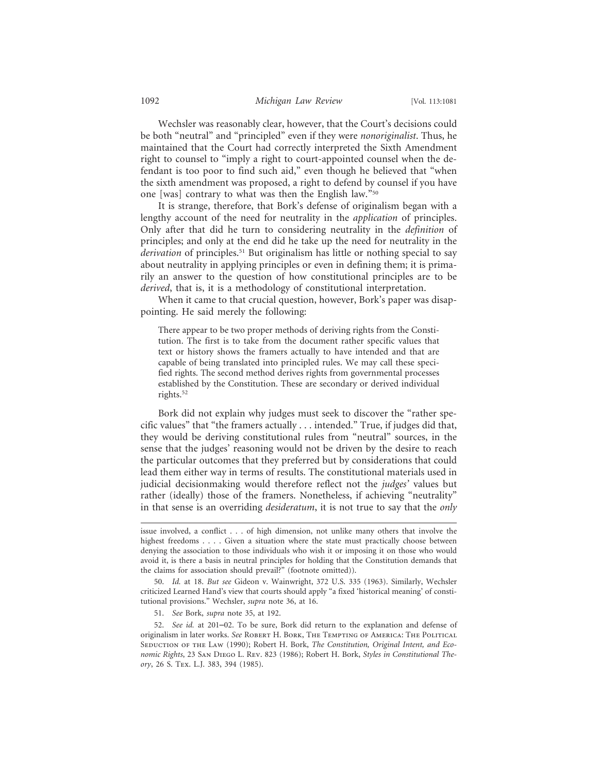Wechsler was reasonably clear, however, that the Court's decisions could be both "neutral" and "principled" even if they were *nonoriginalist*. Thus, he maintained that the Court had correctly interpreted the Sixth Amendment right to counsel to "imply a right to court-appointed counsel when the defendant is too poor to find such aid," even though he believed that "when the sixth amendment was proposed, a right to defend by counsel if you have one [was] contrary to what was then the English law."50

It is strange, therefore, that Bork's defense of originalism began with a lengthy account of the need for neutrality in the *application* of principles. Only after that did he turn to considering neutrality in the *definition* of principles; and only at the end did he take up the need for neutrality in the *derivation* of principles.51 But originalism has little or nothing special to say about neutrality in applying principles or even in defining them; it is primarily an answer to the question of how constitutional principles are to be *derived*, that is, it is a methodology of constitutional interpretation.

When it came to that crucial question, however, Bork's paper was disappointing. He said merely the following:

There appear to be two proper methods of deriving rights from the Constitution. The first is to take from the document rather specific values that text or history shows the framers actually to have intended and that are capable of being translated into principled rules. We may call these specified rights. The second method derives rights from governmental processes established by the Constitution. These are secondary or derived individual rights.52

Bork did not explain why judges must seek to discover the "rather specific values" that "the framers actually . . . intended." True, if judges did that, they would be deriving constitutional rules from "neutral" sources, in the sense that the judges' reasoning would not be driven by the desire to reach the particular outcomes that they preferred but by considerations that could lead them either way in terms of results. The constitutional materials used in judicial decisionmaking would therefore reflect not the *judges'* values but rather (ideally) those of the framers. Nonetheless, if achieving "neutrality" in that sense is an overriding *desideratum*, it is not true to say that the *only*

51. *See* Bork, *supra* note 35, at 192.

issue involved, a conflict . . . of high dimension, not unlike many others that involve the highest freedoms . . . . Given a situation where the state must practically choose between denying the association to those individuals who wish it or imposing it on those who would avoid it, is there a basis in neutral principles for holding that the Constitution demands that the claims for association should prevail?" (footnote omitted)).

<sup>50.</sup> *Id.* at 18. *But see* Gideon v. Wainwright, 372 U.S. 335 (1963). Similarly, Wechsler criticized Learned Hand's view that courts should apply "a fixed 'historical meaning' of constitutional provisions." Wechsler, *supra* note 36, at 16.

<sup>52.</sup> *See id.* at 201–02. To be sure, Bork did return to the explanation and defense of originalism in later works. *See* Robert H. Bork, The Tempting of America: The Political SEDUCTION OF THE LAW (1990); Robert H. Bork, *The Constitution, Original Intent, and Economic Rights*, 23 San Diego L. Rev. 823 (1986); Robert H. Bork, *Styles in Constitutional Theory*, 26 S. Tex. L.J. 383, 394 (1985).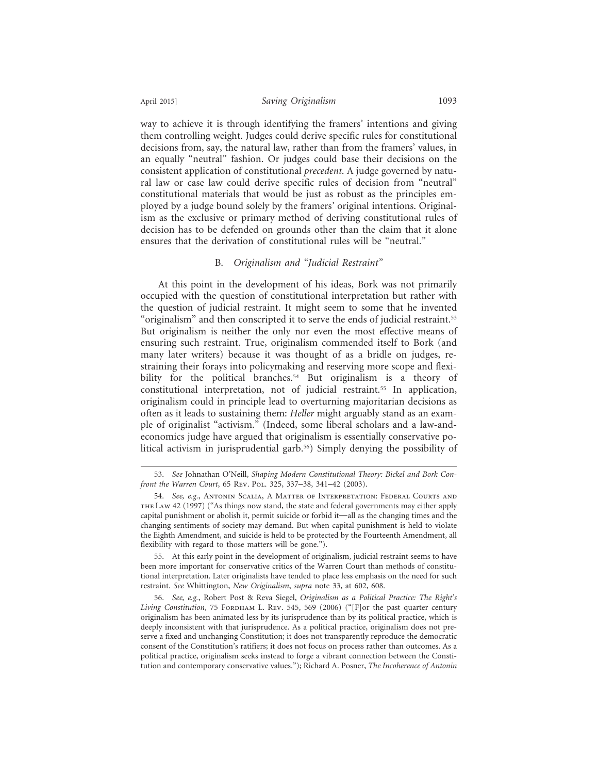way to achieve it is through identifying the framers' intentions and giving them controlling weight. Judges could derive specific rules for constitutional decisions from, say, the natural law, rather than from the framers' values, in an equally "neutral" fashion. Or judges could base their decisions on the consistent application of constitutional *precedent*. A judge governed by natural law or case law could derive specific rules of decision from "neutral" constitutional materials that would be just as robust as the principles employed by a judge bound solely by the framers' original intentions. Originalism as the exclusive or primary method of deriving constitutional rules of decision has to be defended on grounds other than the claim that it alone ensures that the derivation of constitutional rules will be "neutral."

# B. *Originalism and "Judicial Restraint"*

At this point in the development of his ideas, Bork was not primarily occupied with the question of constitutional interpretation but rather with the question of judicial restraint. It might seem to some that he invented "originalism" and then conscripted it to serve the ends of judicial restraint.53 But originalism is neither the only nor even the most effective means of ensuring such restraint. True, originalism commended itself to Bork (and many later writers) because it was thought of as a bridle on judges, restraining their forays into policymaking and reserving more scope and flexibility for the political branches.<sup>54</sup> But originalism is a theory of constitutional interpretation, not of judicial restraint.55 In application, originalism could in principle lead to overturning majoritarian decisions as often as it leads to sustaining them: *Heller* might arguably stand as an example of originalist "activism." (Indeed, some liberal scholars and a law-andeconomics judge have argued that originalism is essentially conservative political activism in jurisprudential garb.56) Simply denying the possibility of

<sup>53.</sup> *See* Johnathan O'Neill, *Shaping Modern Constitutional Theory: Bickel and Bork Confront the Warren Court*, 65 Rev. Pol. 325, 337–38, 341–42 (2003).

<sup>54.</sup> *See, e.g.*, Antonin Scalia, A Matter of Interpretation: Federal Courts and the Law 42 (1997) ("As things now stand, the state and federal governments may either apply capital punishment or abolish it, permit suicide or forbid it—all as the changing times and the changing sentiments of society may demand. But when capital punishment is held to violate the Eighth Amendment, and suicide is held to be protected by the Fourteenth Amendment, all flexibility with regard to those matters will be gone.").

<sup>55.</sup> At this early point in the development of originalism, judicial restraint seems to have been more important for conservative critics of the Warren Court than methods of constitutional interpretation. Later originalists have tended to place less emphasis on the need for such restraint. *See* Whittington, *New Originalism*, *supra* note 33, at 602, 608.

<sup>56.</sup> *See, e.g.*, Robert Post & Reva Siegel, *Originalism as a Political Practice: The Right's* Living Constitution, 75 FORDHAM L. REV. 545, 569 (2006) ("[F]or the past quarter century originalism has been animated less by its jurisprudence than by its political practice, which is deeply inconsistent with that jurisprudence. As a political practice, originalism does not preserve a fixed and unchanging Constitution; it does not transparently reproduce the democratic consent of the Constitution's ratifiers; it does not focus on process rather than outcomes. As a political practice, originalism seeks instead to forge a vibrant connection between the Constitution and contemporary conservative values."); Richard A. Posner, *The Incoherence of Antonin*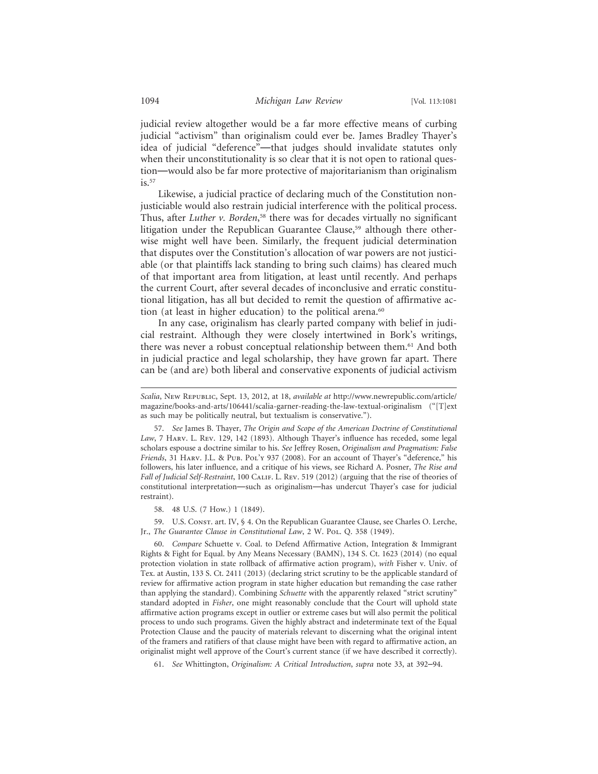judicial review altogether would be a far more effective means of curbing judicial "activism" than originalism could ever be. James Bradley Thayer's idea of judicial "deference"—that judges should invalidate statutes only when their unconstitutionality is so clear that it is not open to rational question—would also be far more protective of majoritarianism than originalism  $is.^{57}$ 

Likewise, a judicial practice of declaring much of the Constitution nonjusticiable would also restrain judicial interference with the political process. Thus, after *Luther v. Borden*, 58 there was for decades virtually no significant litigation under the Republican Guarantee Clause,<sup>59</sup> although there otherwise might well have been. Similarly, the frequent judicial determination that disputes over the Constitution's allocation of war powers are not justiciable (or that plaintiffs lack standing to bring such claims) has cleared much of that important area from litigation, at least until recently. And perhaps the current Court, after several decades of inconclusive and erratic constitutional litigation, has all but decided to remit the question of affirmative action (at least in higher education) to the political arena.<sup>60</sup>

In any case, originalism has clearly parted company with belief in judicial restraint. Although they were closely intertwined in Bork's writings, there was never a robust conceptual relationship between them.61 And both in judicial practice and legal scholarship, they have grown far apart. There can be (and are) both liberal and conservative exponents of judicial activism

58. 48 U.S. (7 How.) 1 (1849).

59. U.S. Const. art. IV, § 4. On the Republican Guarantee Clause, see Charles O. Lerche, Jr., *The Guarantee Clause in Constitutional Law*, 2 W. Pol. Q. 358 (1949).

60. *Compare* Schuette v. Coal. to Defend Affirmative Action, Integration & Immigrant Rights & Fight for Equal. by Any Means Necessary (BAMN), 134 S. Ct. 1623 (2014) (no equal protection violation in state rollback of affirmative action program), *with* Fisher v. Univ. of Tex. at Austin, 133 S. Ct. 2411 (2013) (declaring strict scrutiny to be the applicable standard of review for affirmative action program in state higher education but remanding the case rather than applying the standard). Combining *Schuette* with the apparently relaxed "strict scrutiny" standard adopted in *Fisher*, one might reasonably conclude that the Court will uphold state affirmative action programs except in outlier or extreme cases but will also permit the political process to undo such programs. Given the highly abstract and indeterminate text of the Equal Protection Clause and the paucity of materials relevant to discerning what the original intent of the framers and ratifiers of that clause might have been with regard to affirmative action, an originalist might well approve of the Court's current stance (if we have described it correctly).

61. *See* Whittington, *Originalism: A Critical Introduction*, *supra* note 33, at 392–94.

*Scalia*, New Republic, Sept. 13, 2012, at 18, *available at* http://www.newrepublic.com/article/ magazine/books-and-arts/106441/scalia-garner-reading-the-law-textual-originalism ("[T]ext as such may be politically neutral, but textualism is conservative.").

<sup>57.</sup> *See* James B. Thayer, *The Origin and Scope of the American Doctrine of Constitutional Law*, 7 Harv. L. Rev. 129, 142 (1893). Although Thayer's influence has receded, some legal scholars espouse a doctrine similar to his. *See* Jeffrey Rosen, *Originalism and Pragmatism: False Friends*, 31 Harv. J.L. & Pub. Pol'y 937 (2008). For an account of Thayer's "deference," his followers, his later influence, and a critique of his views, see Richard A. Posner, *The Rise and Fall of Judicial Self-Restraint*, 100 CALIF. L. REV. 519 (2012) (arguing that the rise of theories of constitutional interpretation—such as originalism—has undercut Thayer's case for judicial restraint).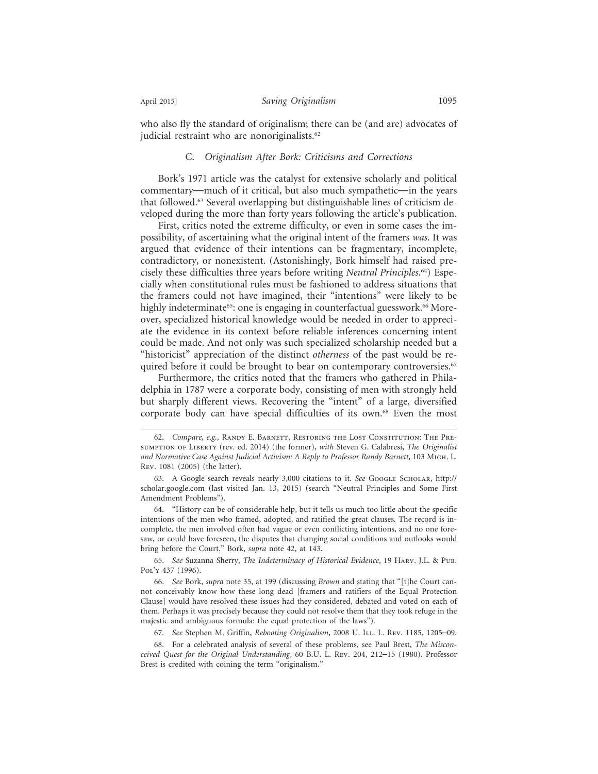who also fly the standard of originalism; there can be (and are) advocates of judicial restraint who are nonoriginalists.<sup>62</sup>

## C. *Originalism After Bork: Criticisms and Corrections*

Bork's 1971 article was the catalyst for extensive scholarly and political commentary—much of it critical, but also much sympathetic—in the years that followed.63 Several overlapping but distinguishable lines of criticism developed during the more than forty years following the article's publication.

First, critics noted the extreme difficulty, or even in some cases the impossibility, of ascertaining what the original intent of the framers *was*. It was argued that evidence of their intentions can be fragmentary, incomplete, contradictory, or nonexistent. (Astonishingly, Bork himself had raised precisely these difficulties three years before writing *Neutral Principles*. 64) Especially when constitutional rules must be fashioned to address situations that the framers could not have imagined, their "intentions" were likely to be highly indeterminate<sup>65</sup>: one is engaging in counterfactual guesswork.<sup>66</sup> Moreover, specialized historical knowledge would be needed in order to appreciate the evidence in its context before reliable inferences concerning intent could be made. And not only was such specialized scholarship needed but a "historicist" appreciation of the distinct *otherness* of the past would be required before it could be brought to bear on contemporary controversies.<sup>67</sup>

Furthermore, the critics noted that the framers who gathered in Philadelphia in 1787 were a corporate body, consisting of men with strongly held but sharply different views. Recovering the "intent" of a large, diversified corporate body can have special difficulties of its own.68 Even the most

65. *See* Suzanna Sherry, *The Indeterminacy of Historical Evidence*, 19 Harv. J.L. & Pub. Pol'y 437 (1996).

<sup>62.</sup> *Compare, e.g.*, Randy E. Barnett, Restoring the Lost Constitution: The Presumption of Liberty (rev. ed. 2014) (the former), *with* Steven G. Calabresi, *The Originalist and Normative Case Against Judicial Activism: A Reply to Professor Randy Barnett*, 103 Mich. L. Rev. 1081 (2005) (the latter).

<sup>63.</sup> A Google search reveals nearly 3,000 citations to it. *See* Google Scholar, http:// scholar.google.com (last visited Jan. 13, 2015) (search "Neutral Principles and Some First Amendment Problems").

<sup>64. &</sup>quot;History can be of considerable help, but it tells us much too little about the specific intentions of the men who framed, adopted, and ratified the great clauses. The record is incomplete, the men involved often had vague or even conflicting intentions, and no one foresaw, or could have foreseen, the disputes that changing social conditions and outlooks would bring before the Court." Bork, *supra* note 42, at 143.

<sup>66.</sup> *See* Bork, *supra* note 35, at 199 (discussing *Brown* and stating that "[t]he Court cannot conceivably know how these long dead [framers and ratifiers of the Equal Protection Clause] would have resolved these issues had they considered, debated and voted on each of them. Perhaps it was precisely because they could not resolve them that they took refuge in the majestic and ambiguous formula: the equal protection of the laws").

<sup>67.</sup> *See* Stephen M. Griffin, *Rebooting Originalism*, 2008 U. Ill. L. Rev. 1185, 1205–09.

<sup>68.</sup> For a celebrated analysis of several of these problems, see Paul Brest, *The Misconceived Quest for the Original Understanding*, 60 B.U. L. Rev. 204, 212–15 (1980). Professor Brest is credited with coining the term "originalism."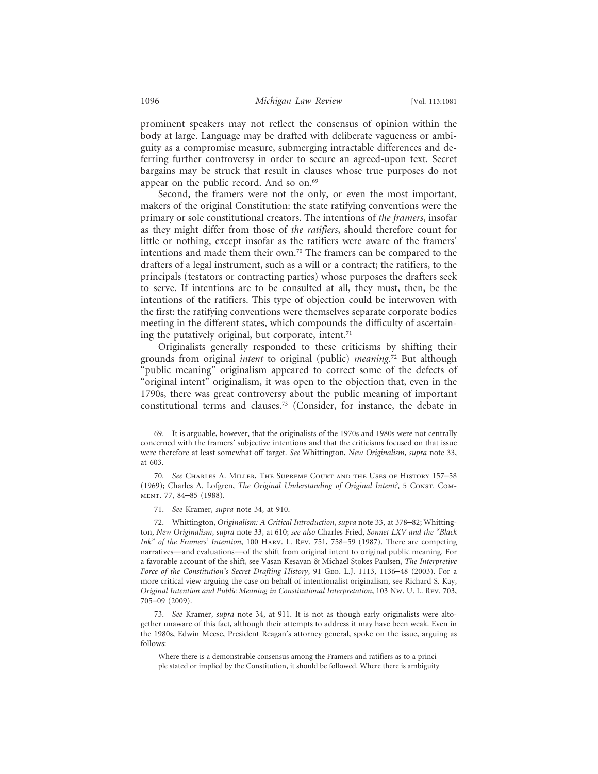prominent speakers may not reflect the consensus of opinion within the body at large. Language may be drafted with deliberate vagueness or ambiguity as a compromise measure, submerging intractable differences and deferring further controversy in order to secure an agreed-upon text. Secret bargains may be struck that result in clauses whose true purposes do not appear on the public record. And so on.<sup>69</sup>

Second, the framers were not the only, or even the most important, makers of the original Constitution: the state ratifying conventions were the primary or sole constitutional creators. The intentions of *the framers*, insofar as they might differ from those of *the ratifiers*, should therefore count for little or nothing, except insofar as the ratifiers were aware of the framers' intentions and made them their own.<sup>70</sup> The framers can be compared to the drafters of a legal instrument, such as a will or a contract; the ratifiers, to the principals (testators or contracting parties) whose purposes the drafters seek to serve. If intentions are to be consulted at all, they must, then, be the intentions of the ratifiers. This type of objection could be interwoven with the first: the ratifying conventions were themselves separate corporate bodies meeting in the different states, which compounds the difficulty of ascertaining the putatively original, but corporate, intent.<sup>71</sup>

Originalists generally responded to these criticisms by shifting their grounds from original *intent* to original (public) *meaning*. 72 But although "public meaning" originalism appeared to correct some of the defects of "original intent" originalism, it was open to the objection that, even in the 1790s, there was great controversy about the public meaning of important constitutional terms and clauses.73 (Consider, for instance, the debate in

72. Whittington, *Originalism: A Critical Introduction*, *supra* note 33, at 378–82; Whittington, *New Originalism*, *supra* note 33, at 610; *see also* Charles Fried, *Sonnet LXV and the "Black Ink" of the Framers' Intention*, 100 Harv. L. Rev. 751, 758–59 (1987). There are competing narratives—and evaluations—of the shift from original intent to original public meaning. For a favorable account of the shift, see Vasan Kesavan & Michael Stokes Paulsen, *The Interpretive Force of the Constitution's Secret Drafting History*, 91 Geo. L.J. 1113, 1136–48 (2003). For a more critical view arguing the case on behalf of intentionalist originalism, see Richard S. Kay, *Original Intention and Public Meaning in Constitutional Interpretation*, 103 Nw. U. L. Rev. 703, 705–09 (2009).

Where there is a demonstrable consensus among the Framers and ratifiers as to a principle stated or implied by the Constitution, it should be followed. Where there is ambiguity

<sup>69.</sup> It is arguable, however, that the originalists of the 1970s and 1980s were not centrally concerned with the framers' subjective intentions and that the criticisms focused on that issue were therefore at least somewhat off target. *See* Whittington, *New Originalism*, *supra* note 33, at 603.

<sup>70.</sup> *See* Charles A. Miller, The Supreme Court and the Uses of History 157–58 (1969); Charles A. Lofgren, *The Original Understanding of Original Intent?*, 5 Const. Comment. 77, 84–85 (1988).

<sup>71.</sup> *See* Kramer, *supra* note 34, at 910.

<sup>73.</sup> *See* Kramer, *supra* note 34, at 911. It is not as though early originalists were altogether unaware of this fact, although their attempts to address it may have been weak. Even in the 1980s, Edwin Meese, President Reagan's attorney general, spoke on the issue, arguing as follows: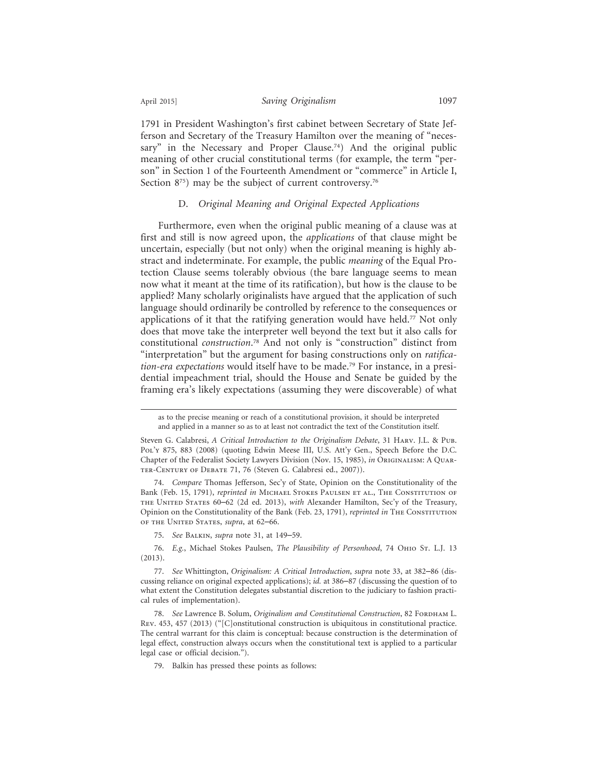1791 in President Washington's first cabinet between Secretary of State Jefferson and Secretary of the Treasury Hamilton over the meaning of "necessary" in the Necessary and Proper Clause.<sup>74</sup>) And the original public meaning of other crucial constitutional terms (for example, the term "person" in Section 1 of the Fourteenth Amendment or "commerce" in Article I, Section 8<sup>75</sup>) may be the subject of current controversy.<sup>76</sup>

# D. *Original Meaning and Original Expected Applications*

Furthermore, even when the original public meaning of a clause was at first and still is now agreed upon, the *applications* of that clause might be uncertain, especially (but not only) when the original meaning is highly abstract and indeterminate. For example, the public *meaning* of the Equal Protection Clause seems tolerably obvious (the bare language seems to mean now what it meant at the time of its ratification), but how is the clause to be applied? Many scholarly originalists have argued that the application of such language should ordinarily be controlled by reference to the consequences or applications of it that the ratifying generation would have held.77 Not only does that move take the interpreter well beyond the text but it also calls for constitutional *construction*. 78 And not only is "construction" distinct from "interpretation" but the argument for basing constructions only on *ratification-era expectations* would itself have to be made.79 For instance, in a presidential impeachment trial, should the House and Senate be guided by the framing era's likely expectations (assuming they were discoverable) of what

74. *Compare* Thomas Jefferson, Sec'y of State, Opinion on the Constitutionality of the Bank (Feb. 15, 1791), *reprinted in* Michael Stokes Paulsen et al., The Constitution of the United States 60–62 (2d ed. 2013), *with* Alexander Hamilton, Sec'y of the Treasury, Opinion on the Constitutionality of the Bank (Feb. 23, 1791), *reprinted in* The Constitution of the United States, *supra*, at 62–66.

75. *See* Balkin, *supra* note 31, at 149–59.

76. *E.g.*, Michael Stokes Paulsen, *The Plausibility of Personhood*, 74 Ohio St. L.J. 13 (2013).

77. *See* Whittington, *Originalism: A Critical Introduction*, *supra* note 33, at 382–86 (discussing reliance on original expected applications); *id.* at 386–87 (discussing the question of to what extent the Constitution delegates substantial discretion to the judiciary to fashion practical rules of implementation).

78. See Lawrence B. Solum, *Originalism and Constitutional Construction*, 82 FORDНАМ L. Rev. 453, 457 (2013) ("[C]onstitutional construction is ubiquitous in constitutional practice. The central warrant for this claim is conceptual: because construction is the determination of legal effect, construction always occurs when the constitutional text is applied to a particular legal case or official decision.").

79. Balkin has pressed these points as follows:

as to the precise meaning or reach of a constitutional provision, it should be interpreted and applied in a manner so as to at least not contradict the text of the Constitution itself.

Steven G. Calabresi, *A Critical Introduction to the Originalism Debate*, 31 Harv. J.L. & Pub. Pol'y 875, 883 (2008) (quoting Edwin Meese III, U.S. Att'y Gen., Speech Before the D.C. Chapter of the Federalist Society Lawyers Division (Nov. 15, 1985), *in* Originalism: A Quarter-Century of Debate 71, 76 (Steven G. Calabresi ed., 2007)).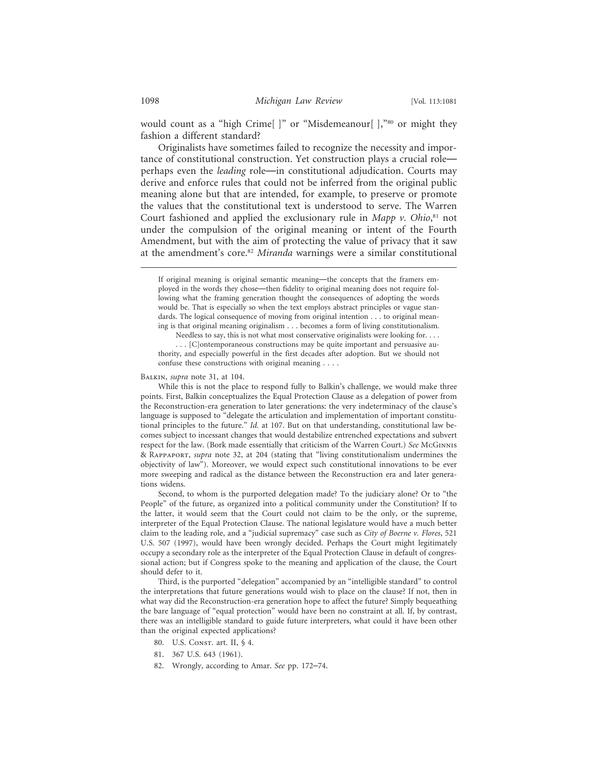would count as a "high Crime[ ]" or "Misdemeanour[ ],"80 or might they fashion a different standard?

Originalists have sometimes failed to recognize the necessity and importance of constitutional construction. Yet construction plays a crucial role perhaps even the *leading* role—in constitutional adjudication. Courts may derive and enforce rules that could not be inferred from the original public meaning alone but that are intended, for example, to preserve or promote the values that the constitutional text is understood to serve. The Warren Court fashioned and applied the exclusionary rule in *Mapp v. Ohio*, 81 not under the compulsion of the original meaning or intent of the Fourth Amendment, but with the aim of protecting the value of privacy that it saw at the amendment's core.82 *Miranda* warnings were a similar constitutional

BALKIN, *supra* note 31, at 104.

While this is not the place to respond fully to Balkin's challenge, we would make three points. First, Balkin conceptualizes the Equal Protection Clause as a delegation of power from the Reconstruction-era generation to later generations: the very indeterminacy of the clause's language is supposed to "delegate the articulation and implementation of important constitutional principles to the future." *Id.* at 107. But on that understanding, constitutional law becomes subject to incessant changes that would destabilize entrenched expectations and subvert respect for the law. (Bork made essentially that criticism of the Warren Court.) *See* McGinnis & Rappaport, *supra* note 32, at 204 (stating that "living constitutionalism undermines the objectivity of law"). Moreover, we would expect such constitutional innovations to be ever more sweeping and radical as the distance between the Reconstruction era and later generations widens.

Second, to whom is the purported delegation made? To the judiciary alone? Or to "the People" of the future, as organized into a political community under the Constitution? If to the latter, it would seem that the Court could not claim to be the only, or the supreme, interpreter of the Equal Protection Clause. The national legislature would have a much better claim to the leading role, and a "judicial supremacy" case such as *City of Boerne v. Flores*, 521 U.S. 507 (1997), would have been wrongly decided. Perhaps the Court might legitimately occupy a secondary role as the interpreter of the Equal Protection Clause in default of congressional action; but if Congress spoke to the meaning and application of the clause, the Court should defer to it.

Third, is the purported "delegation" accompanied by an "intelligible standard" to control the interpretations that future generations would wish to place on the clause? If not, then in what way did the Reconstruction-era generation hope to affect the future? Simply bequeathing the bare language of "equal protection" would have been no constraint at all. If, by contrast, there was an intelligible standard to guide future interpreters, what could it have been other than the original expected applications?

- 80. U.S. CONST. art. II, § 4.
- 81. 367 U.S. 643 (1961).
- 82. Wrongly, according to Amar. *See* pp. 172–74.

If original meaning is original semantic meaning—the concepts that the framers employed in the words they chose—then fidelity to original meaning does not require following what the framing generation thought the consequences of adopting the words would be. That is especially so when the text employs abstract principles or vague standards. The logical consequence of moving from original intention . . . to original meaning is that original meaning originalism . . . becomes a form of living constitutionalism.

Needless to say, this is not what most conservative originalists were looking for. . . .

<sup>. . . [</sup>C]ontemporaneous constructions may be quite important and persuasive authority, and especially powerful in the first decades after adoption. But we should not confuse these constructions with original meaning . . . .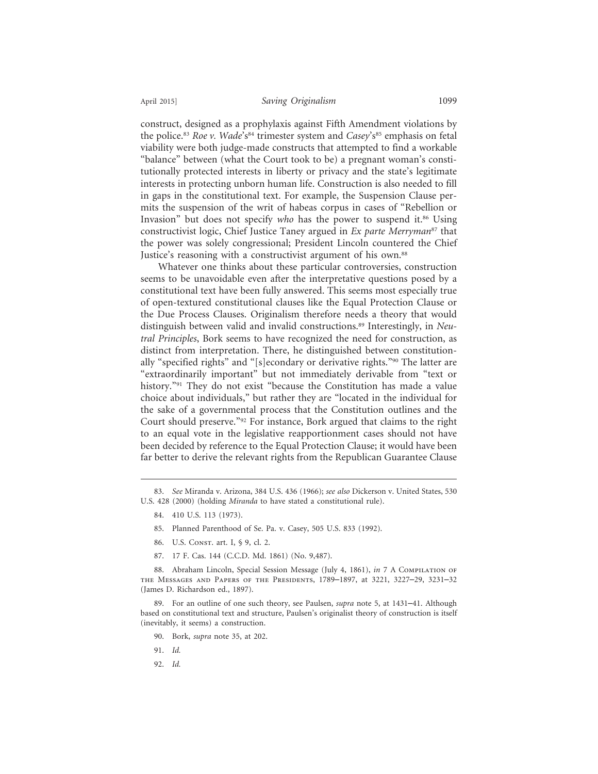construct, designed as a prophylaxis against Fifth Amendment violations by the police.<sup>83</sup> *Roe v. Wade*'s<sup>84</sup> trimester system and *Casey*'s<sup>85</sup> emphasis on fetal viability were both judge-made constructs that attempted to find a workable "balance" between (what the Court took to be) a pregnant woman's constitutionally protected interests in liberty or privacy and the state's legitimate interests in protecting unborn human life. Construction is also needed to fill in gaps in the constitutional text. For example, the Suspension Clause permits the suspension of the writ of habeas corpus in cases of "Rebellion or Invasion" but does not specify who has the power to suspend it.<sup>86</sup> Using constructivist logic, Chief Justice Taney argued in *Ex parte Merryman*87 that the power was solely congressional; President Lincoln countered the Chief Justice's reasoning with a constructivist argument of his own.<sup>88</sup>

Whatever one thinks about these particular controversies, construction seems to be unavoidable even after the interpretative questions posed by a constitutional text have been fully answered. This seems most especially true of open-textured constitutional clauses like the Equal Protection Clause or the Due Process Clauses. Originalism therefore needs a theory that would distinguish between valid and invalid constructions.89 Interestingly, in *Neutral Principles*, Bork seems to have recognized the need for construction, as distinct from interpretation. There, he distinguished between constitutionally "specified rights" and "[s]econdary or derivative rights."90 The latter are "extraordinarily important" but not immediately derivable from "text or history."91 They do not exist "because the Constitution has made a value choice about individuals," but rather they are "located in the individual for the sake of a governmental process that the Constitution outlines and the Court should preserve."92 For instance, Bork argued that claims to the right to an equal vote in the legislative reapportionment cases should not have been decided by reference to the Equal Protection Clause; it would have been far better to derive the relevant rights from the Republican Guarantee Clause

- 84. 410 U.S. 113 (1973).
- 85. Planned Parenthood of Se. Pa. v. Casey, 505 U.S. 833 (1992).
- 86. U.S. CONST. art. I, § 9, cl. 2.
- 87. 17 F. Cas. 144 (C.C.D. Md. 1861) (No. 9,487).

88. Abraham Lincoln, Special Session Message (July 4, 1861), *in* 7 A COMPILATION OF the Messages and Papers of the Presidents, 1789–1897, at 3221, 3227–29, 3231–32 (James D. Richardson ed., 1897).

89. For an outline of one such theory, see Paulsen, *supra* note 5, at 1431–41. Although based on constitutional text and structure, Paulsen's originalist theory of construction is itself (inevitably, it seems) a construction.

- 90. Bork, *supra* note 35, at 202.
- 91. *Id.*
- 92. *Id.*

<sup>83.</sup> *See* Miranda v. Arizona, 384 U.S. 436 (1966); *see also* Dickerson v. United States, 530 U.S. 428 (2000) (holding *Miranda* to have stated a constitutional rule).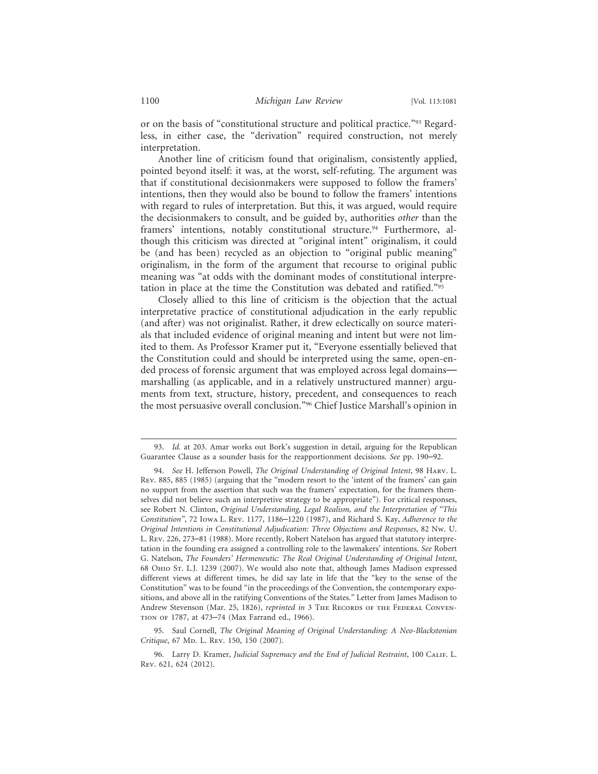or on the basis of "constitutional structure and political practice."93 Regardless, in either case, the "derivation" required construction, not merely interpretation.

Another line of criticism found that originalism, consistently applied, pointed beyond itself: it was, at the worst, self-refuting. The argument was that if constitutional decisionmakers were supposed to follow the framers' intentions, then they would also be bound to follow the framers' intentions with regard to rules of interpretation. But this, it was argued, would require the decisionmakers to consult, and be guided by, authorities *other* than the framers' intentions, notably constitutional structure.<sup>94</sup> Furthermore, although this criticism was directed at "original intent" originalism, it could be (and has been) recycled as an objection to "original public meaning" originalism, in the form of the argument that recourse to original public meaning was "at odds with the dominant modes of constitutional interpretation in place at the time the Constitution was debated and ratified."95

Closely allied to this line of criticism is the objection that the actual interpretative practice of constitutional adjudication in the early republic (and after) was not originalist. Rather, it drew eclectically on source materials that included evidence of original meaning and intent but were not limited to them. As Professor Kramer put it, "Everyone essentially believed that the Constitution could and should be interpreted using the same, open-ended process of forensic argument that was employed across legal domains marshalling (as applicable, and in a relatively unstructured manner) arguments from text, structure, history, precedent, and consequences to reach the most persuasive overall conclusion."96 Chief Justice Marshall's opinion in

95. Saul Cornell, *The Original Meaning of Original Understanding: A Neo-Blackstonian Critique*, 67 Mp. L. Rev. 150, 150 (2007).

<sup>93.</sup> *Id.* at 203. Amar works out Bork's suggestion in detail, arguing for the Republican Guarantee Clause as a sounder basis for the reapportionment decisions. *See* pp. 190–92.

<sup>94.</sup> *See* H. Jefferson Powell, *The Original Understanding of Original Intent*, 98 Harv. L. Rev. 885, 885 (1985) (arguing that the "modern resort to the 'intent of the framers' can gain no support from the assertion that such was the framers' expectation, for the framers themselves did not believe such an interpretive strategy to be appropriate"). For critical responses, see Robert N. Clinton, *Original Understanding, Legal Realism, and the Interpretation of "This Constitution"*, 72 Iowa L. Rev. 1177, 1186–1220 (1987), and Richard S. Kay, *Adherence to the Original Intentions in Constitutional Adjudication: Three Objections and Responses*, 82 Nw. U. L. Rev. 226, 273–81 (1988). More recently, Robert Natelson has argued that statutory interpretation in the founding era assigned a controlling role to the lawmakers' intentions. *See* Robert G. Natelson, *The Founders' Hermeneutic: The Real Original Understanding of Original Intent*, 68 Ohio St. L.J. 1239 (2007). We would also note that, although James Madison expressed different views at different times, he did say late in life that the "key to the sense of the Constitution" was to be found "in the proceedings of the Convention, the contemporary expositions, and above all in the ratifying Conventions of the States." Letter from James Madison to Andrew Stevenson (Mar. 25, 1826), *reprinted in* 3 THE RECORDS OF THE FEDERAL CONVENtion of 1787, at 473–74 (Max Farrand ed., 1966).

<sup>96.</sup> Larry D. Kramer, *Judicial Supremacy and the End of Judicial Restraint*, 100 Calif. L. Rev. 621, 624 (2012).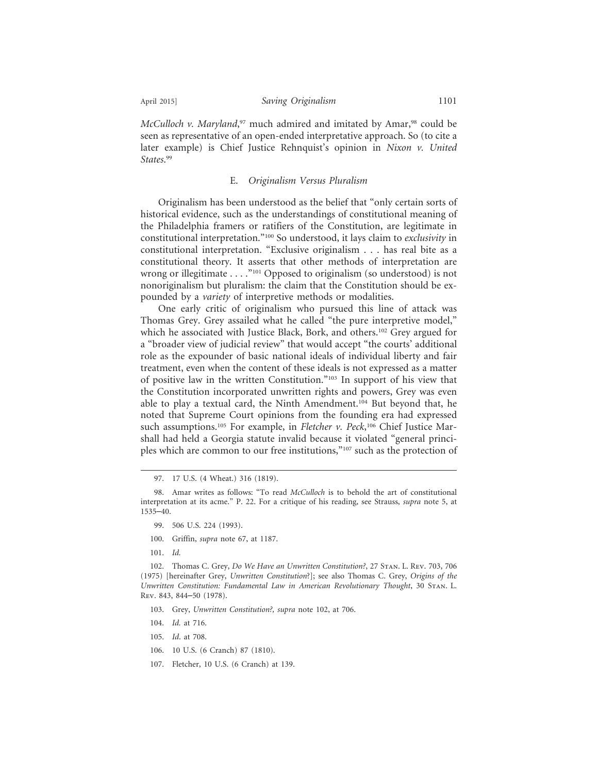*McCulloch v. Maryland*, 97 much admired and imitated by Amar,98 could be seen as representative of an open-ended interpretative approach. So (to cite a later example) is Chief Justice Rehnquist's opinion in *Nixon v. United States*. 99

## E. *Originalism Versus Pluralism*

Originalism has been understood as the belief that "only certain sorts of historical evidence, such as the understandings of constitutional meaning of the Philadelphia framers or ratifiers of the Constitution, are legitimate in constitutional interpretation."100 So understood, it lays claim to *exclusivity* in constitutional interpretation. "Exclusive originalism . . . has real bite as a constitutional theory. It asserts that other methods of interpretation are wrong or illegitimate . . . . "<sup>101</sup> Opposed to originalism (so understood) is not nonoriginalism but pluralism: the claim that the Constitution should be expounded by a *variety* of interpretive methods or modalities.

One early critic of originalism who pursued this line of attack was Thomas Grey. Grey assailed what he called "the pure interpretive model," which he associated with Justice Black, Bork, and others.<sup>102</sup> Grey argued for a "broader view of judicial review" that would accept "the courts' additional role as the expounder of basic national ideals of individual liberty and fair treatment, even when the content of these ideals is not expressed as a matter of positive law in the written Constitution."103 In support of his view that the Constitution incorporated unwritten rights and powers, Grey was even able to play a textual card, the Ninth Amendment.104 But beyond that, he noted that Supreme Court opinions from the founding era had expressed such assumptions.105 For example, in *Fletcher v. Peck*, 106 Chief Justice Marshall had held a Georgia statute invalid because it violated "general principles which are common to our free institutions,"107 such as the protection of

- 99. 506 U.S. 224 (1993).
- 100. Griffin, *supra* note 67, at 1187.
- 101. *Id.*

102. Thomas C. Grey, *Do We Have an Unwritten Constitution?*, 27 Stan. L. Rev. 703, 706 (1975) [hereinafter Grey, *Unwritten Constitution*?]; see also Thomas C. Grey, *Origins of the Unwritten Constitution: Fundamental Law in American Revolutionary Thought*, 30 Stan. L. Rev. 843, 844–50 (1978).

- 103. Grey, *Unwritten Constitution?, supra* note 102, at 706.
- 104. *Id.* at 716.
- 105. *Id*. at 708.
- 106. 10 U.S. (6 Cranch) 87 (1810).
- 107. Fletcher, 10 U.S. (6 Cranch) at 139.

<sup>97. 17</sup> U.S. (4 Wheat.) 316 (1819).

<sup>98.</sup> Amar writes as follows: "To read *McCulloch* is to behold the art of constitutional interpretation at its acme." P. 22. For a critique of his reading, see Strauss, *supra* note 5, at 1535–40.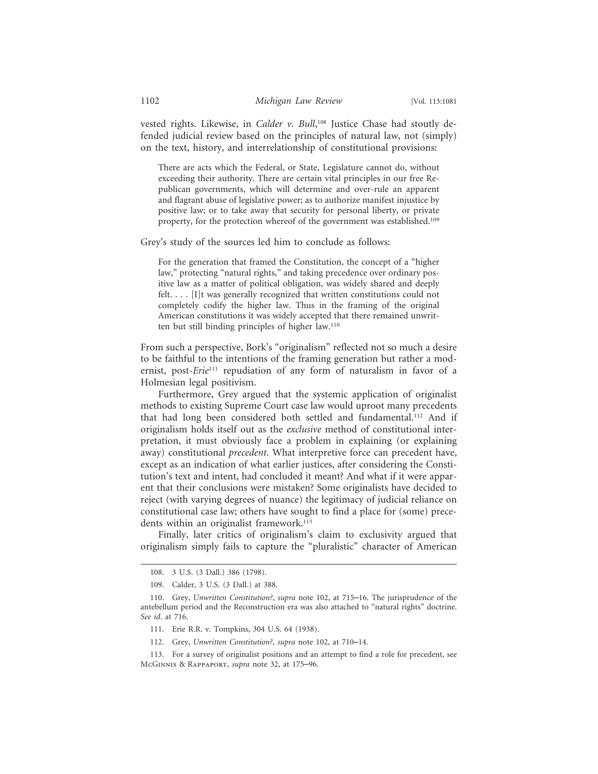vested rights. Likewise, in *Calder v. Bull*, 108 Justice Chase had stoutly defended judicial review based on the principles of natural law, not (simply) on the text, history, and interrelationship of constitutional provisions:

There are acts which the Federal, or State, Legislature cannot do, without exceeding their authority. There are certain vital principles in our free Republican governments, which will determine and over-rule an apparent and flagrant abuse of legislative power; as to authorize manifest injustice by positive law; or to take away that security for personal liberty, or private property, for the protection whereof of the government was established.109

Grey's study of the sources led him to conclude as follows:

For the generation that framed the Constitution, the concept of a "higher law," protecting "natural rights," and taking precedence over ordinary positive law as a matter of political obligation, was widely shared and deeply felt. . . . [I]t was generally recognized that written constitutions could not completely codify the higher law. Thus in the framing of the original American constitutions it was widely accepted that there remained unwritten but still binding principles of higher law.110

From such a perspective, Bork's "originalism" reflected not so much a desire to be faithful to the intentions of the framing generation but rather a modernist, post-*Erie*111 repudiation of any form of naturalism in favor of a Holmesian legal positivism.

Furthermore, Grey argued that the systemic application of originalist methods to existing Supreme Court case law would uproot many precedents that had long been considered both settled and fundamental.112 And if originalism holds itself out as the *exclusive* method of constitutional interpretation, it must obviously face a problem in explaining (or explaining away) constitutional *precedent*. What interpretive force can precedent have, except as an indication of what earlier justices, after considering the Constitution's text and intent, had concluded it meant? And what if it were apparent that their conclusions were mistaken? Some originalists have decided to reject (with varying degrees of nuance) the legitimacy of judicial reliance on constitutional case law; others have sought to find a place for (some) precedents within an originalist framework.<sup>113</sup>

Finally, later critics of originalism's claim to exclusivity argued that originalism simply fails to capture the "pluralistic" character of American

<sup>108. 3</sup> U.S. (3 Dall.) 386 (1798).

<sup>109.</sup> Calder, 3 U.S. (3 Dall.) at 388.

<sup>110.</sup> Grey, *Unwritten Constitution?*, *supra* note 102, at 715–16. The jurisprudence of the antebellum period and the Reconstruction era was also attached to "natural rights" doctrine. *See id*. at 716.

<sup>111.</sup> Erie R.R. v. Tompkins, 304 U.S. 64 (1938).

<sup>112.</sup> Grey, *Unwritten Constitution?*, *supra* note 102, at 710–14.

<sup>113.</sup> For a survey of originalist positions and an attempt to find a role for precedent, see McGinnis & Rappaport, *supra* note 32, at 175–96.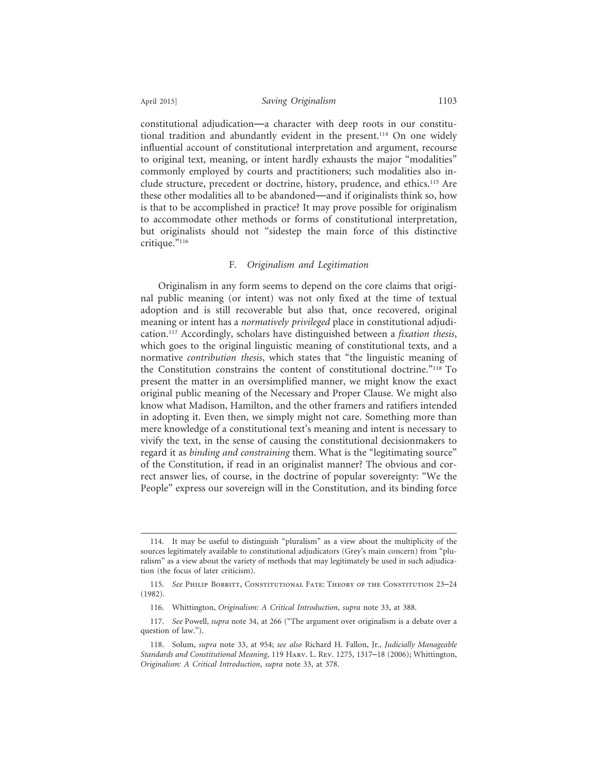constitutional adjudication—a character with deep roots in our constitutional tradition and abundantly evident in the present.114 On one widely influential account of constitutional interpretation and argument, recourse to original text, meaning, or intent hardly exhausts the major "modalities" commonly employed by courts and practitioners; such modalities also include structure, precedent or doctrine, history, prudence, and ethics.115 Are these other modalities all to be abandoned—and if originalists think so, how is that to be accomplished in practice? It may prove possible for originalism to accommodate other methods or forms of constitutional interpretation, but originalists should not "sidestep the main force of this distinctive critique."116

## F. *Originalism and Legitimation*

Originalism in any form seems to depend on the core claims that original public meaning (or intent) was not only fixed at the time of textual adoption and is still recoverable but also that, once recovered, original meaning or intent has a *normatively privileged* place in constitutional adjudication.117 Accordingly, scholars have distinguished between a *fixation thesis*, which goes to the original linguistic meaning of constitutional texts, and a normative *contribution thesis*, which states that "the linguistic meaning of the Constitution constrains the content of constitutional doctrine."118 To present the matter in an oversimplified manner, we might know the exact original public meaning of the Necessary and Proper Clause. We might also know what Madison, Hamilton, and the other framers and ratifiers intended in adopting it. Even then, we simply might not care. Something more than mere knowledge of a constitutional text's meaning and intent is necessary to vivify the text, in the sense of causing the constitutional decisionmakers to regard it as *binding and constraining* them. What is the "legitimating source" of the Constitution, if read in an originalist manner? The obvious and correct answer lies, of course, in the doctrine of popular sovereignty: "We the People" express our sovereign will in the Constitution, and its binding force

<sup>114.</sup> It may be useful to distinguish "pluralism" as a view about the multiplicity of the sources legitimately available to constitutional adjudicators (Grey's main concern) from "pluralism" as a view about the variety of methods that may legitimately be used in such adjudication (the focus of later criticism).

<sup>115.</sup> See Philip Bobbitt, Constitutional Fate: Theory of the Constitution 23-24 (1982).

<sup>116.</sup> Whittington, *Originalism: A Critical Introduction*, *supra* note 33, at 388.

<sup>117.</sup> *See* Powell, *supra* note 34, at 266 ("The argument over originalism is a debate over a question of law.").

<sup>118.</sup> Solum, *supra* note 33, at 954; *see also* Richard H. Fallon, Jr., *Judicially Manageable Standards and Constitutional Meaning*, 119 Harv. L. Rev. 1275, 1317–18 (2006); Whittington, *Originalism: A Critical Introduction*, *supra* note 33, at 378.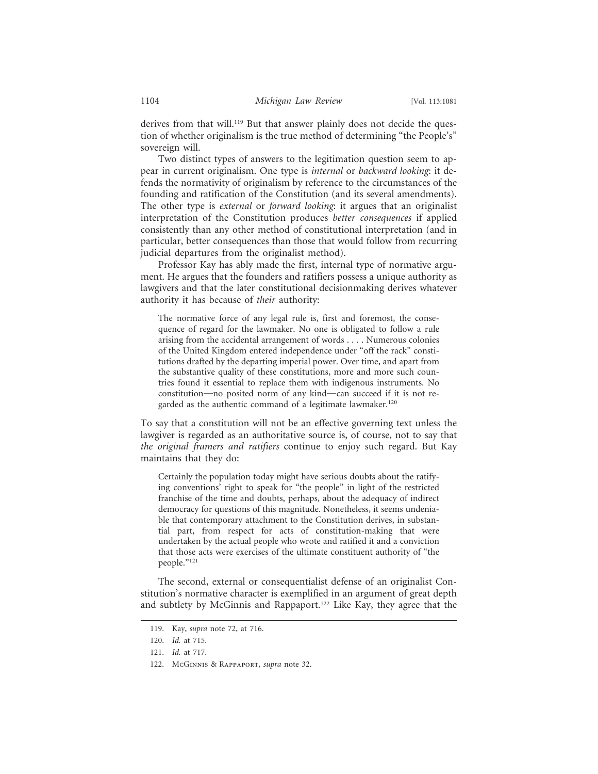derives from that will.<sup>119</sup> But that answer plainly does not decide the question of whether originalism is the true method of determining "the People's" sovereign will.

Two distinct types of answers to the legitimation question seem to appear in current originalism. One type is *internal* or *backward looking*: it defends the normativity of originalism by reference to the circumstances of the founding and ratification of the Constitution (and its several amendments). The other type is *external* or *forward looking*: it argues that an originalist interpretation of the Constitution produces *better consequences* if applied consistently than any other method of constitutional interpretation (and in particular, better consequences than those that would follow from recurring judicial departures from the originalist method).

Professor Kay has ably made the first, internal type of normative argument. He argues that the founders and ratifiers possess a unique authority as lawgivers and that the later constitutional decisionmaking derives whatever authority it has because of *their* authority:

The normative force of any legal rule is, first and foremost, the consequence of regard for the lawmaker. No one is obligated to follow a rule arising from the accidental arrangement of words . . . . Numerous colonies of the United Kingdom entered independence under "off the rack" constitutions drafted by the departing imperial power. Over time, and apart from the substantive quality of these constitutions, more and more such countries found it essential to replace them with indigenous instruments. No constitution—no posited norm of any kind—can succeed if it is not regarded as the authentic command of a legitimate lawmaker.<sup>120</sup>

To say that a constitution will not be an effective governing text unless the lawgiver is regarded as an authoritative source is, of course, not to say that *the original framers and ratifiers* continue to enjoy such regard. But Kay maintains that they do:

Certainly the population today might have serious doubts about the ratifying conventions' right to speak for "the people" in light of the restricted franchise of the time and doubts, perhaps, about the adequacy of indirect democracy for questions of this magnitude. Nonetheless, it seems undeniable that contemporary attachment to the Constitution derives, in substantial part, from respect for acts of constitution-making that were undertaken by the actual people who wrote and ratified it and a conviction that those acts were exercises of the ultimate constituent authority of "the people."121

The second, external or consequentialist defense of an originalist Constitution's normative character is exemplified in an argument of great depth and subtlety by McGinnis and Rappaport.122 Like Kay, they agree that the

<sup>119.</sup> Kay, *supra* note 72, at 716.

<sup>120.</sup> *Id.* at 715.

<sup>121.</sup> *Id.* at 717.

<sup>122.</sup> McGinnis & Rappaport, *supra* note 32.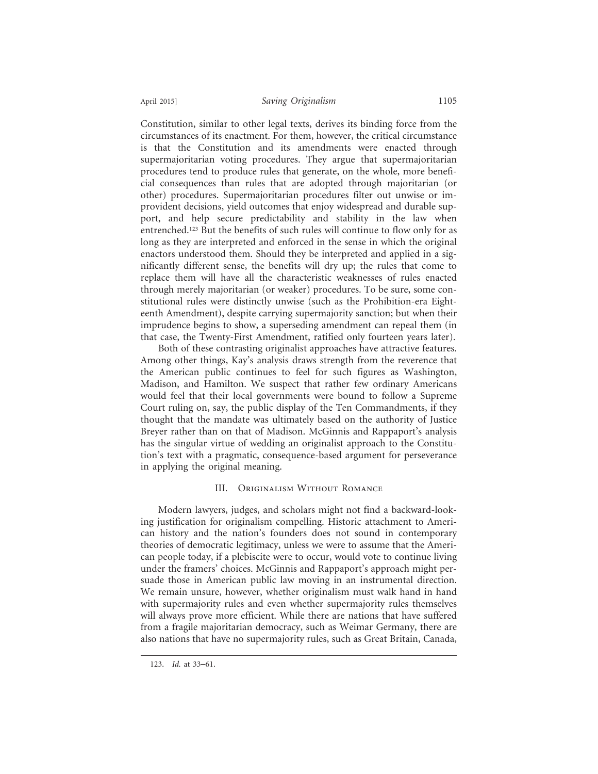Constitution, similar to other legal texts, derives its binding force from the circumstances of its enactment. For them, however, the critical circumstance is that the Constitution and its amendments were enacted through supermajoritarian voting procedures. They argue that supermajoritarian procedures tend to produce rules that generate, on the whole, more beneficial consequences than rules that are adopted through majoritarian (or other) procedures. Supermajoritarian procedures filter out unwise or improvident decisions, yield outcomes that enjoy widespread and durable support, and help secure predictability and stability in the law when entrenched.123 But the benefits of such rules will continue to flow only for as long as they are interpreted and enforced in the sense in which the original enactors understood them. Should they be interpreted and applied in a significantly different sense, the benefits will dry up; the rules that come to replace them will have all the characteristic weaknesses of rules enacted through merely majoritarian (or weaker) procedures. To be sure, some constitutional rules were distinctly unwise (such as the Prohibition-era Eighteenth Amendment), despite carrying supermajority sanction; but when their imprudence begins to show, a superseding amendment can repeal them (in that case, the Twenty-First Amendment, ratified only fourteen years later).

Both of these contrasting originalist approaches have attractive features. Among other things, Kay's analysis draws strength from the reverence that the American public continues to feel for such figures as Washington, Madison, and Hamilton. We suspect that rather few ordinary Americans would feel that their local governments were bound to follow a Supreme Court ruling on, say, the public display of the Ten Commandments, if they thought that the mandate was ultimately based on the authority of Justice Breyer rather than on that of Madison. McGinnis and Rappaport's analysis has the singular virtue of wedding an originalist approach to the Constitution's text with a pragmatic, consequence-based argument for perseverance in applying the original meaning.

# III. Originalism Without Romance

Modern lawyers, judges, and scholars might not find a backward-looking justification for originalism compelling. Historic attachment to American history and the nation's founders does not sound in contemporary theories of democratic legitimacy, unless we were to assume that the American people today, if a plebiscite were to occur, would vote to continue living under the framers' choices. McGinnis and Rappaport's approach might persuade those in American public law moving in an instrumental direction. We remain unsure, however, whether originalism must walk hand in hand with supermajority rules and even whether supermajority rules themselves will always prove more efficient. While there are nations that have suffered from a fragile majoritarian democracy, such as Weimar Germany, there are also nations that have no supermajority rules, such as Great Britain, Canada,

<sup>123.</sup> *Id.* at 33–61.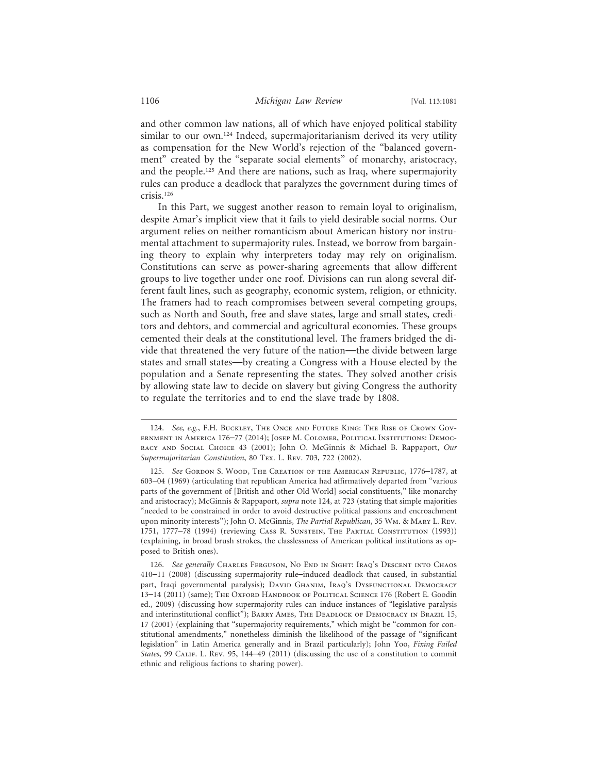and other common law nations, all of which have enjoyed political stability similar to our own.<sup>124</sup> Indeed, supermajoritarianism derived its very utility as compensation for the New World's rejection of the "balanced government" created by the "separate social elements" of monarchy, aristocracy, and the people.125 And there are nations, such as Iraq, where supermajority rules can produce a deadlock that paralyzes the government during times of crisis.126

In this Part, we suggest another reason to remain loyal to originalism, despite Amar's implicit view that it fails to yield desirable social norms. Our argument relies on neither romanticism about American history nor instrumental attachment to supermajority rules. Instead, we borrow from bargaining theory to explain why interpreters today may rely on originalism. Constitutions can serve as power-sharing agreements that allow different groups to live together under one roof. Divisions can run along several different fault lines, such as geography, economic system, religion, or ethnicity. The framers had to reach compromises between several competing groups, such as North and South, free and slave states, large and small states, creditors and debtors, and commercial and agricultural economies. These groups cemented their deals at the constitutional level. The framers bridged the divide that threatened the very future of the nation—the divide between large states and small states—by creating a Congress with a House elected by the population and a Senate representing the states. They solved another crisis by allowing state law to decide on slavery but giving Congress the authority to regulate the territories and to end the slave trade by 1808.

<sup>124.</sup> *See, e.g.*, F.H. Buckley, The Once and Future King: The Rise of Crown Government in America 176–77 (2014); Josep M. Colomer, Political Institutions: Democracy and Social Choice 43 (2001); John O. McGinnis & Michael B. Rappaport, *Our Supermajoritarian Constitution*, 80 Tex. L. Rev. 703, 722 (2002).

<sup>125.</sup> *See* Gordon S. Wood, The Creation of the American Republic, 1776–1787, at 603–04 (1969) (articulating that republican America had affirmatively departed from "various parts of the government of [British and other Old World] social constituents," like monarchy and aristocracy); McGinnis & Rappaport, *supra* note 124, at 723 (stating that simple majorities "needed to be constrained in order to avoid destructive political passions and encroachment upon minority interests"); John O. McGinnis, *The Partial Republican*, 35 Wm. & Mary L. Rev. 1751, 1777–78 (1994) (reviewing Cass R. Sunstein, The Partial Constitution (1993)) (explaining, in broad brush strokes, the classlessness of American political institutions as opposed to British ones).

<sup>126.</sup> See generally CHARLES FERGUSON, NO END IN SIGHT: IRAQ'S DESCENT INTO CHAOS 410–11 (2008) (discussing supermajority rule–induced deadlock that caused, in substantial part, Iraqi governmental paralysis); DAVID GHANIM, IRAQ'S DYSFUNCTIONAL DEMOCRACY 13-14 (2011) (same); The Oxford Handbook of Political Science 176 (Robert E. Goodin ed., 2009) (discussing how supermajority rules can induce instances of "legislative paralysis and interinstitutional conflict"); BARRY AMES, THE DEADLOCK OF DEMOCRACY IN BRAZIL 15, 17 (2001) (explaining that "supermajority requirements," which might be "common for constitutional amendments," nonetheless diminish the likelihood of the passage of "significant legislation" in Latin America generally and in Brazil particularly); John Yoo, *Fixing Failed States*, 99 CALIF. L. Rev. 95, 144–49 (2011) (discussing the use of a constitution to commit ethnic and religious factions to sharing power).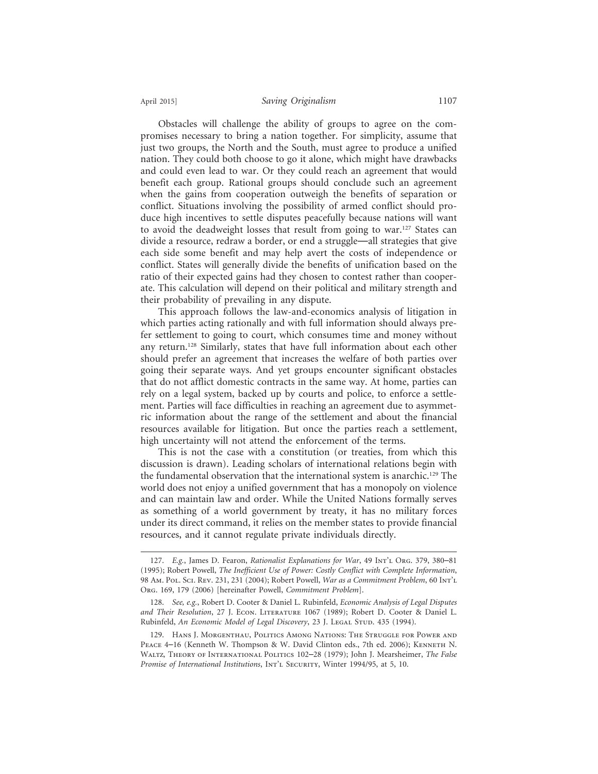Obstacles will challenge the ability of groups to agree on the compromises necessary to bring a nation together. For simplicity, assume that just two groups, the North and the South, must agree to produce a unified nation. They could both choose to go it alone, which might have drawbacks and could even lead to war. Or they could reach an agreement that would benefit each group. Rational groups should conclude such an agreement when the gains from cooperation outweigh the benefits of separation or conflict. Situations involving the possibility of armed conflict should produce high incentives to settle disputes peacefully because nations will want to avoid the deadweight losses that result from going to war.<sup>127</sup> States can divide a resource, redraw a border, or end a struggle—all strategies that give each side some benefit and may help avert the costs of independence or conflict. States will generally divide the benefits of unification based on the ratio of their expected gains had they chosen to contest rather than cooperate. This calculation will depend on their political and military strength and their probability of prevailing in any dispute.

This approach follows the law-and-economics analysis of litigation in which parties acting rationally and with full information should always prefer settlement to going to court, which consumes time and money without any return.<sup>128</sup> Similarly, states that have full information about each other should prefer an agreement that increases the welfare of both parties over going their separate ways. And yet groups encounter significant obstacles that do not afflict domestic contracts in the same way. At home, parties can rely on a legal system, backed up by courts and police, to enforce a settlement. Parties will face difficulties in reaching an agreement due to asymmetric information about the range of the settlement and about the financial resources available for litigation. But once the parties reach a settlement, high uncertainty will not attend the enforcement of the terms.

This is not the case with a constitution (or treaties, from which this discussion is drawn). Leading scholars of international relations begin with the fundamental observation that the international system is anarchic.129 The world does not enjoy a unified government that has a monopoly on violence and can maintain law and order. While the United Nations formally serves as something of a world government by treaty, it has no military forces under its direct command, it relies on the member states to provide financial resources, and it cannot regulate private individuals directly.

<sup>127.</sup> *E.g.*, James D. Fearon, *Rationalist Explanations for War*, 49 Int'l Org. 379, 380–81 (1995); Robert Powell, *The Inefficient Use of Power: Costly Conflict with Complete Information*, 98 Am. Pol. Sci. Rev. 231, 231 (2004); Robert Powell, *War as a Commitment Problem*, 60 Int'l Org. 169, 179 (2006) [hereinafter Powell, *Commitment Problem*].

<sup>128.</sup> *See, e.g.*, Robert D. Cooter & Daniel L. Rubinfeld, *Economic Analysis of Legal Disputes and Their Resolution*, 27 J. Econ. Literature 1067 (1989); Robert D. Cooter & Daniel L. Rubinfeld, *An Economic Model of Legal Discovery*, 23 J. Legal Stup. 435 (1994).

<sup>129.</sup> Hans J. Morgenthau, Politics Among Nations: The Struggle for Power and Peace 4–16 (Kenneth W. Thompson & W. David Clinton eds., 7th ed. 2006); Kenneth N. Waltz, Theory of International Politics 102–28 (1979); John J. Mearsheimer, *The False Promise of International Institutions*, In $T$ <sup>'</sup>L SECURITY, Winter 1994/95, at 5, 10.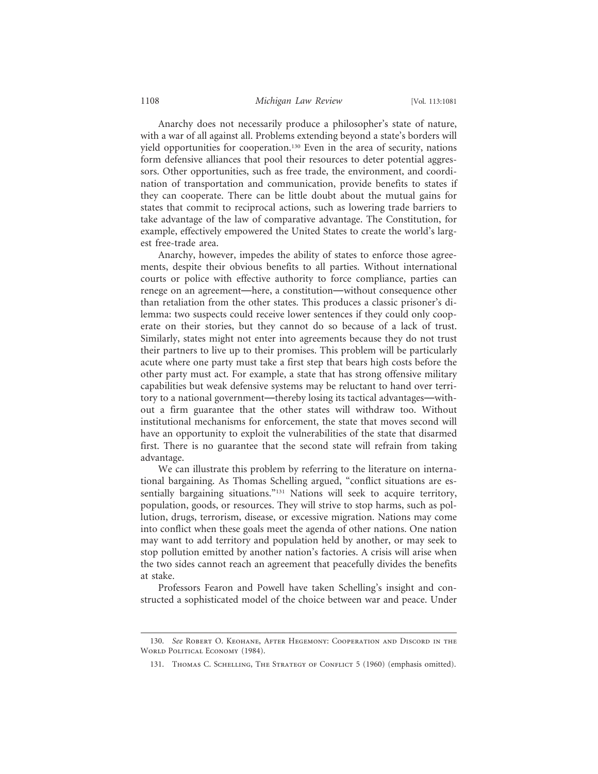## 1108 *Michigan Law Review* [Vol. 113:1081

Anarchy does not necessarily produce a philosopher's state of nature, with a war of all against all. Problems extending beyond a state's borders will yield opportunities for cooperation.<sup>130</sup> Even in the area of security, nations form defensive alliances that pool their resources to deter potential aggressors. Other opportunities, such as free trade, the environment, and coordination of transportation and communication, provide benefits to states if they can cooperate. There can be little doubt about the mutual gains for states that commit to reciprocal actions, such as lowering trade barriers to take advantage of the law of comparative advantage. The Constitution, for example, effectively empowered the United States to create the world's largest free-trade area.

Anarchy, however, impedes the ability of states to enforce those agreements, despite their obvious benefits to all parties. Without international courts or police with effective authority to force compliance, parties can renege on an agreement—here, a constitution—without consequence other than retaliation from the other states. This produces a classic prisoner's dilemma: two suspects could receive lower sentences if they could only cooperate on their stories, but they cannot do so because of a lack of trust. Similarly, states might not enter into agreements because they do not trust their partners to live up to their promises. This problem will be particularly acute where one party must take a first step that bears high costs before the other party must act. For example, a state that has strong offensive military capabilities but weak defensive systems may be reluctant to hand over territory to a national government—thereby losing its tactical advantages—without a firm guarantee that the other states will withdraw too. Without institutional mechanisms for enforcement, the state that moves second will have an opportunity to exploit the vulnerabilities of the state that disarmed first. There is no guarantee that the second state will refrain from taking advantage.

We can illustrate this problem by referring to the literature on international bargaining. As Thomas Schelling argued, "conflict situations are essentially bargaining situations."<sup>131</sup> Nations will seek to acquire territory, population, goods, or resources. They will strive to stop harms, such as pollution, drugs, terrorism, disease, or excessive migration. Nations may come into conflict when these goals meet the agenda of other nations. One nation may want to add territory and population held by another, or may seek to stop pollution emitted by another nation's factories. A crisis will arise when the two sides cannot reach an agreement that peacefully divides the benefits at stake.

Professors Fearon and Powell have taken Schelling's insight and constructed a sophisticated model of the choice between war and peace. Under

<sup>130.</sup> *See* Robert O. Keohane, After Hegemony: Cooperation and Discord in the WORLD POLITICAL ECONOMY (1984).

<sup>131.</sup> THOMAS C. SCHELLING, THE STRATEGY OF CONFLICT 5 (1960) (emphasis omitted).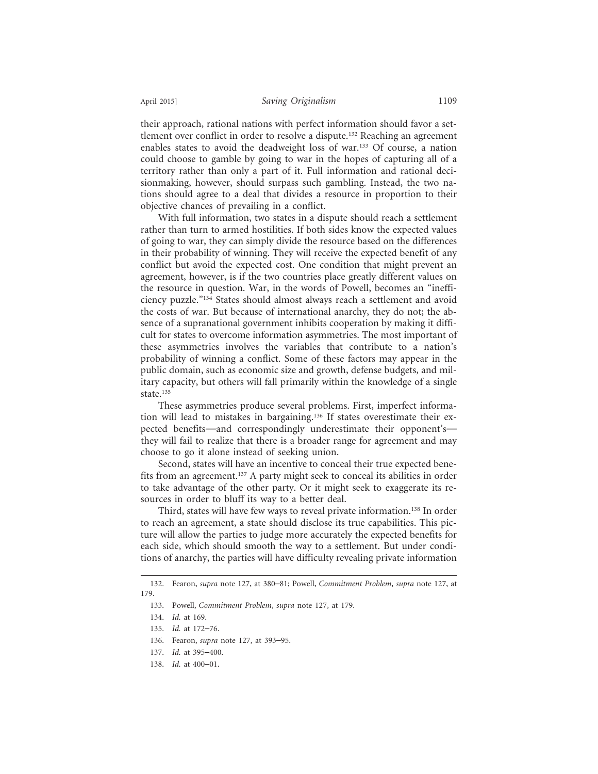their approach, rational nations with perfect information should favor a settlement over conflict in order to resolve a dispute.132 Reaching an agreement enables states to avoid the deadweight loss of war.<sup>133</sup> Of course, a nation could choose to gamble by going to war in the hopes of capturing all of a territory rather than only a part of it. Full information and rational decisionmaking, however, should surpass such gambling. Instead, the two nations should agree to a deal that divides a resource in proportion to their objective chances of prevailing in a conflict.

With full information, two states in a dispute should reach a settlement rather than turn to armed hostilities. If both sides know the expected values of going to war, they can simply divide the resource based on the differences in their probability of winning. They will receive the expected benefit of any conflict but avoid the expected cost. One condition that might prevent an agreement, however, is if the two countries place greatly different values on the resource in question. War, in the words of Powell, becomes an "inefficiency puzzle."134 States should almost always reach a settlement and avoid the costs of war. But because of international anarchy, they do not; the absence of a supranational government inhibits cooperation by making it difficult for states to overcome information asymmetries. The most important of these asymmetries involves the variables that contribute to a nation's probability of winning a conflict. Some of these factors may appear in the public domain, such as economic size and growth, defense budgets, and military capacity, but others will fall primarily within the knowledge of a single state.<sup>135</sup>

These asymmetries produce several problems. First, imperfect information will lead to mistakes in bargaining.136 If states overestimate their expected benefits—and correspondingly underestimate their opponent's they will fail to realize that there is a broader range for agreement and may choose to go it alone instead of seeking union.

Second, states will have an incentive to conceal their true expected benefits from an agreement.<sup>137</sup> A party might seek to conceal its abilities in order to take advantage of the other party. Or it might seek to exaggerate its resources in order to bluff its way to a better deal.

Third, states will have few ways to reveal private information.138 In order to reach an agreement, a state should disclose its true capabilities. This picture will allow the parties to judge more accurately the expected benefits for each side, which should smooth the way to a settlement. But under conditions of anarchy, the parties will have difficulty revealing private information

<sup>132.</sup> Fearon, *supra* note 127, at 380–81; Powell, *Commitment Problem*, *supra* note 127, at 179.

<sup>133.</sup> Powell, *Commitment Problem*, *supra* note 127, at 179.

<sup>134.</sup> *Id.* at 169.

<sup>135.</sup> *Id.* at 172–76.

<sup>136.</sup> Fearon, *supra* note 127, at 393–95.

<sup>137.</sup> *Id.* at 395–400.

<sup>138.</sup> *Id.* at 400–01.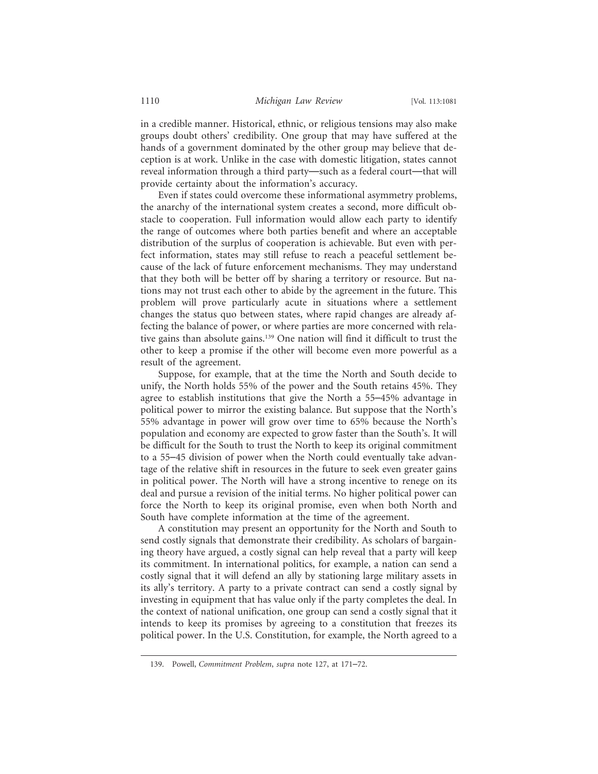in a credible manner. Historical, ethnic, or religious tensions may also make groups doubt others' credibility. One group that may have suffered at the hands of a government dominated by the other group may believe that deception is at work. Unlike in the case with domestic litigation, states cannot reveal information through a third party—such as a federal court—that will provide certainty about the information's accuracy.

Even if states could overcome these informational asymmetry problems, the anarchy of the international system creates a second, more difficult obstacle to cooperation. Full information would allow each party to identify the range of outcomes where both parties benefit and where an acceptable distribution of the surplus of cooperation is achievable. But even with perfect information, states may still refuse to reach a peaceful settlement because of the lack of future enforcement mechanisms. They may understand that they both will be better off by sharing a territory or resource. But nations may not trust each other to abide by the agreement in the future. This problem will prove particularly acute in situations where a settlement changes the status quo between states, where rapid changes are already affecting the balance of power, or where parties are more concerned with relative gains than absolute gains.139 One nation will find it difficult to trust the other to keep a promise if the other will become even more powerful as a result of the agreement.

Suppose, for example, that at the time the North and South decide to unify, the North holds 55% of the power and the South retains 45%. They agree to establish institutions that give the North a 55–45% advantage in political power to mirror the existing balance. But suppose that the North's 55% advantage in power will grow over time to 65% because the North's population and economy are expected to grow faster than the South's. It will be difficult for the South to trust the North to keep its original commitment to a 55–45 division of power when the North could eventually take advantage of the relative shift in resources in the future to seek even greater gains in political power. The North will have a strong incentive to renege on its deal and pursue a revision of the initial terms. No higher political power can force the North to keep its original promise, even when both North and South have complete information at the time of the agreement.

A constitution may present an opportunity for the North and South to send costly signals that demonstrate their credibility. As scholars of bargaining theory have argued, a costly signal can help reveal that a party will keep its commitment. In international politics, for example, a nation can send a costly signal that it will defend an ally by stationing large military assets in its ally's territory. A party to a private contract can send a costly signal by investing in equipment that has value only if the party completes the deal. In the context of national unification, one group can send a costly signal that it intends to keep its promises by agreeing to a constitution that freezes its political power. In the U.S. Constitution, for example, the North agreed to a

<sup>139.</sup> Powell, *Commitment Problem*, *supra* note 127, at 171–72.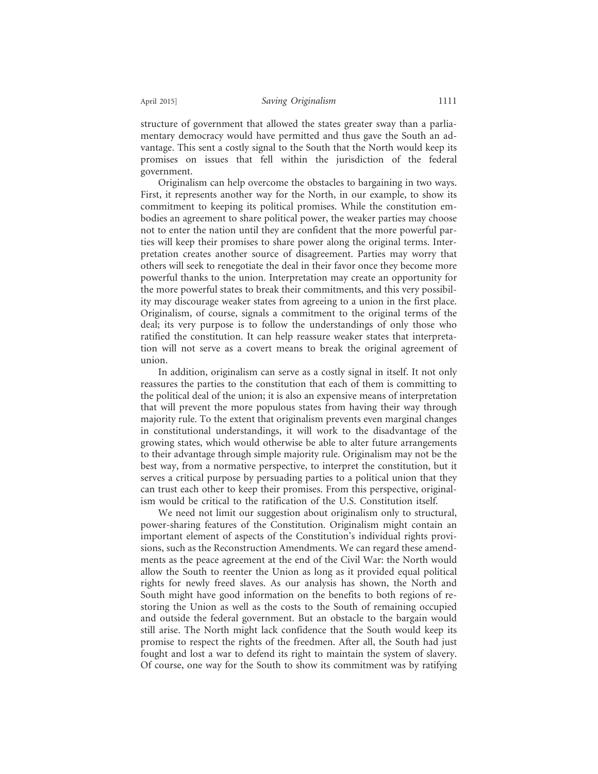structure of government that allowed the states greater sway than a parliamentary democracy would have permitted and thus gave the South an advantage. This sent a costly signal to the South that the North would keep its promises on issues that fell within the jurisdiction of the federal government.

Originalism can help overcome the obstacles to bargaining in two ways. First, it represents another way for the North, in our example, to show its commitment to keeping its political promises. While the constitution embodies an agreement to share political power, the weaker parties may choose not to enter the nation until they are confident that the more powerful parties will keep their promises to share power along the original terms. Interpretation creates another source of disagreement. Parties may worry that others will seek to renegotiate the deal in their favor once they become more powerful thanks to the union. Interpretation may create an opportunity for the more powerful states to break their commitments, and this very possibility may discourage weaker states from agreeing to a union in the first place. Originalism, of course, signals a commitment to the original terms of the deal; its very purpose is to follow the understandings of only those who ratified the constitution. It can help reassure weaker states that interpretation will not serve as a covert means to break the original agreement of union.

In addition, originalism can serve as a costly signal in itself. It not only reassures the parties to the constitution that each of them is committing to the political deal of the union; it is also an expensive means of interpretation that will prevent the more populous states from having their way through majority rule. To the extent that originalism prevents even marginal changes in constitutional understandings, it will work to the disadvantage of the growing states, which would otherwise be able to alter future arrangements to their advantage through simple majority rule. Originalism may not be the best way, from a normative perspective, to interpret the constitution, but it serves a critical purpose by persuading parties to a political union that they can trust each other to keep their promises. From this perspective, originalism would be critical to the ratification of the U.S. Constitution itself.

We need not limit our suggestion about originalism only to structural, power-sharing features of the Constitution. Originalism might contain an important element of aspects of the Constitution's individual rights provisions, such as the Reconstruction Amendments. We can regard these amendments as the peace agreement at the end of the Civil War: the North would allow the South to reenter the Union as long as it provided equal political rights for newly freed slaves. As our analysis has shown, the North and South might have good information on the benefits to both regions of restoring the Union as well as the costs to the South of remaining occupied and outside the federal government. But an obstacle to the bargain would still arise. The North might lack confidence that the South would keep its promise to respect the rights of the freedmen. After all, the South had just fought and lost a war to defend its right to maintain the system of slavery. Of course, one way for the South to show its commitment was by ratifying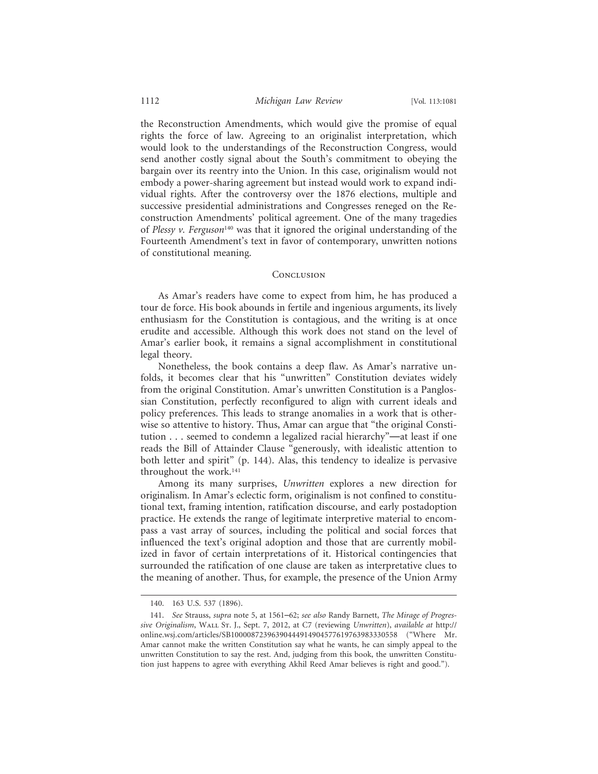the Reconstruction Amendments, which would give the promise of equal rights the force of law. Agreeing to an originalist interpretation, which would look to the understandings of the Reconstruction Congress, would send another costly signal about the South's commitment to obeying the bargain over its reentry into the Union. In this case, originalism would not embody a power-sharing agreement but instead would work to expand individual rights. After the controversy over the 1876 elections, multiple and successive presidential administrations and Congresses reneged on the Reconstruction Amendments' political agreement. One of the many tragedies of *Plessy v. Ferguson*140 was that it ignored the original understanding of the Fourteenth Amendment's text in favor of contemporary, unwritten notions of constitutional meaning.

### **CONCLUSION**

As Amar's readers have come to expect from him, he has produced a tour de force. His book abounds in fertile and ingenious arguments, its lively enthusiasm for the Constitution is contagious, and the writing is at once erudite and accessible. Although this work does not stand on the level of Amar's earlier book, it remains a signal accomplishment in constitutional legal theory.

Nonetheless, the book contains a deep flaw. As Amar's narrative unfolds, it becomes clear that his "unwritten" Constitution deviates widely from the original Constitution. Amar's unwritten Constitution is a Panglossian Constitution, perfectly reconfigured to align with current ideals and policy preferences. This leads to strange anomalies in a work that is otherwise so attentive to history. Thus, Amar can argue that "the original Constitution . . . seemed to condemn a legalized racial hierarchy"—at least if one reads the Bill of Attainder Clause "generously, with idealistic attention to both letter and spirit" (p. 144). Alas, this tendency to idealize is pervasive throughout the work.<sup>141</sup>

Among its many surprises, *Unwritten* explores a new direction for originalism. In Amar's eclectic form, originalism is not confined to constitutional text, framing intention, ratification discourse, and early postadoption practice. He extends the range of legitimate interpretive material to encompass a vast array of sources, including the political and social forces that influenced the text's original adoption and those that are currently mobilized in favor of certain interpretations of it. Historical contingencies that surrounded the ratification of one clause are taken as interpretative clues to the meaning of another. Thus, for example, the presence of the Union Army

<sup>140. 163</sup> U.S. 537 (1896).

<sup>141.</sup> *See* Strauss, *supra* note 5, at 1561–62; *see also* Randy Barnett, *The Mirage of Progressive Originalism*, Wall St. J., Sept. 7, 2012, at C7 (reviewing *Unwritten*), *available at* http:// online.wsj.com/articles/SB10000872396390444914904577619763983330558 ("Where Mr. Amar cannot make the written Constitution say what he wants, he can simply appeal to the unwritten Constitution to say the rest. And, judging from this book, the unwritten Constitution just happens to agree with everything Akhil Reed Amar believes is right and good.").